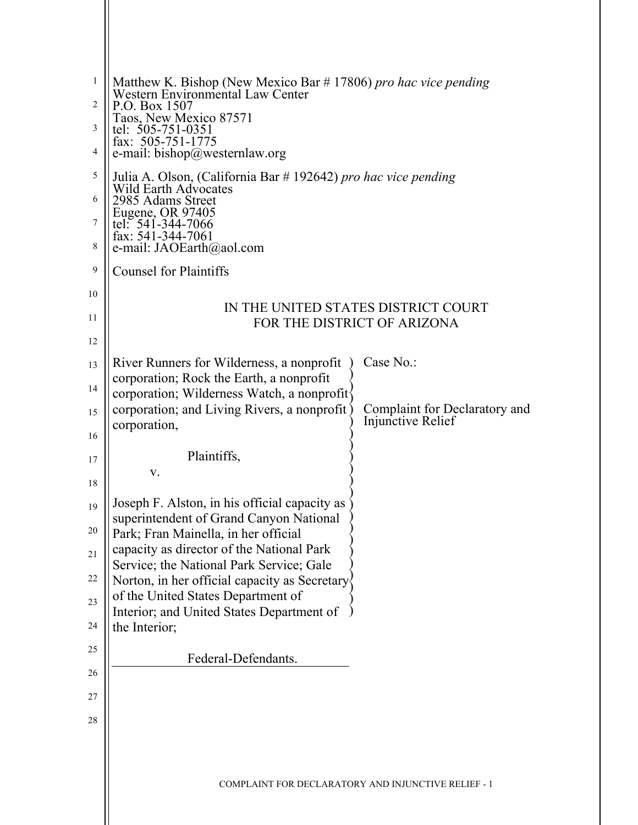| $\mathbf{1}$<br>2 | Matthew K. Bishop (New Mexico Bar # 17806) pro hac vice pending<br>Western Environmental Law Center<br>P.O. Box 1507 |                                                     |
|-------------------|----------------------------------------------------------------------------------------------------------------------|-----------------------------------------------------|
|                   | Taos, New Mexico 87571                                                                                               |                                                     |
| 3                 | tel: $505 - 751 - 0351$<br>fax: $505-751-1775$                                                                       |                                                     |
| 4                 | e-mail: $bishop@$ westernlaw.org                                                                                     |                                                     |
| 5                 | Julia A. Olson, (California Bar # 192642) pro hac vice pending<br><b>Wild Earth Advocates</b>                        |                                                     |
| 6                 | 2985 Adams Street                                                                                                    |                                                     |
| 7                 | Eugene, OR 97405<br>tel: 541-344-7066<br>fax: $541-344-7061$                                                         |                                                     |
| 8                 | e-mail: JAOEarth@aol.com                                                                                             |                                                     |
| 9                 | <b>Counsel for Plaintiffs</b>                                                                                        |                                                     |
| 10                |                                                                                                                      | IN THE UNITED STATES DISTRICT COURT                 |
| 11                |                                                                                                                      | FOR THE DISTRICT OF ARIZONA                         |
| 12                |                                                                                                                      |                                                     |
| 13                | River Runners for Wilderness, a nonprofit                                                                            | Case No.:                                           |
| 14                | corporation; Rock the Earth, a nonprofit<br>corporation; Wilderness Watch, a nonprofit <sup>{</sup>                  |                                                     |
| 15                | corporation; and Living Rivers, a nonprofit                                                                          | Complaint for Declaratory and<br>Injunctive Relief  |
| 16                | corporation,                                                                                                         |                                                     |
| 17                | Plaintiffs,                                                                                                          |                                                     |
| 18                | V.                                                                                                                   |                                                     |
| 19                | Joseph F. Alston, in his official capacity as                                                                        |                                                     |
| 20                | superintendent of Grand Canyon National<br>Park; Fran Mainella, in her official                                      |                                                     |
| 21                | capacity as director of the National Park                                                                            |                                                     |
| 22                | Service; the National Park Service; Gale                                                                             |                                                     |
| 23                | Norton, in her official capacity as Secretary<br>of the United States Department of                                  |                                                     |
| 24                | Interior; and United States Department of                                                                            |                                                     |
| 25                | the Interior;                                                                                                        |                                                     |
|                   | Federal-Defendants.                                                                                                  |                                                     |
| 26                |                                                                                                                      |                                                     |
| $27\,$            |                                                                                                                      |                                                     |
| 28                |                                                                                                                      |                                                     |
|                   |                                                                                                                      |                                                     |
|                   |                                                                                                                      | COMPLAINT FOR DECLARATORY AND INJUNCTIVE RELIEF - 1 |
|                   |                                                                                                                      |                                                     |
|                   |                                                                                                                      |                                                     |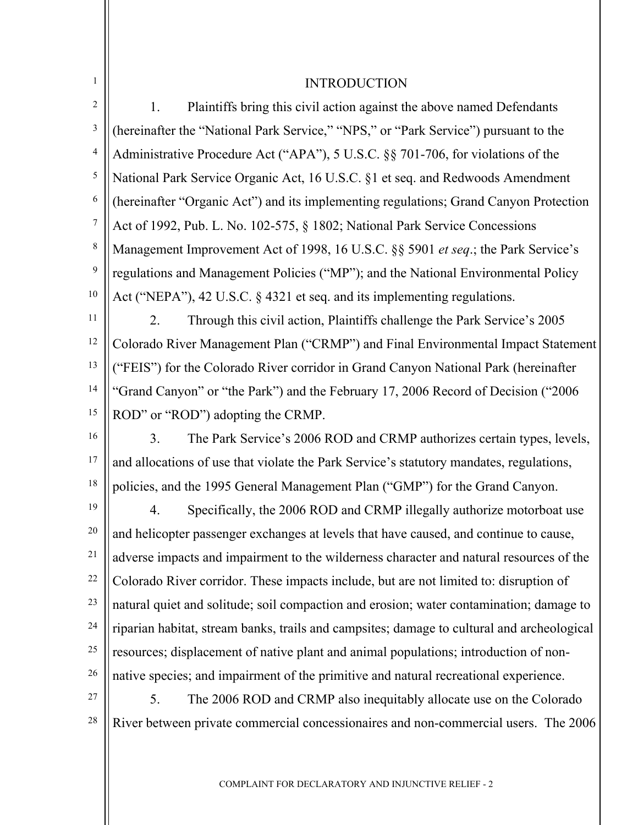#### 1 2 3 4 5 6 7 8 9 10 11 12 13 14 15 16 17 18 19 20 21 22 23 24 25 26 27 INTRODUCTION 1. Plaintiffs bring this civil action against the above named Defendants (hereinafter the "National Park Service," "NPS," or "Park Service") pursuant to the Administrative Procedure Act ("APA"), 5 U.S.C. §§ 701-706, for violations of the National Park Service Organic Act, 16 U.S.C. §1 et seq. and Redwoods Amendment (hereinafter "Organic Act") and its implementing regulations; Grand Canyon Protection Act of 1992, Pub. L. No. 102-575, § 1802; National Park Service Concessions Management Improvement Act of 1998, 16 U.S.C. §§ 5901 *et seq*.; the Park Service's regulations and Management Policies ("MP"); and the National Environmental Policy Act ("NEPA"), 42 U.S.C. § 4321 et seq. and its implementing regulations. 2. Through this civil action, Plaintiffs challenge the Park Service's 2005 Colorado River Management Plan ("CRMP") and Final Environmental Impact Statement ("FEIS") for the Colorado River corridor in Grand Canyon National Park (hereinafter "Grand Canyon" or "the Park") and the February 17, 2006 Record of Decision ("2006 ROD" or "ROD") adopting the CRMP. 3. The Park Service's 2006 ROD and CRMP authorizes certain types, levels, and allocations of use that violate the Park Service's statutory mandates, regulations, policies, and the 1995 General Management Plan ("GMP") for the Grand Canyon. 4. Specifically, the 2006 ROD and CRMP illegally authorize motorboat use and helicopter passenger exchanges at levels that have caused, and continue to cause, adverse impacts and impairment to the wilderness character and natural resources of the Colorado River corridor. These impacts include, but are not limited to: disruption of natural quiet and solitude; soil compaction and erosion; water contamination; damage to riparian habitat, stream banks, trails and campsites; damage to cultural and archeological resources; displacement of native plant and animal populations; introduction of nonnative species; and impairment of the primitive and natural recreational experience. 5. The 2006 ROD and CRMP also inequitably allocate use on the Colorado

28 River between private commercial concessionaires and non-commercial users. The 2006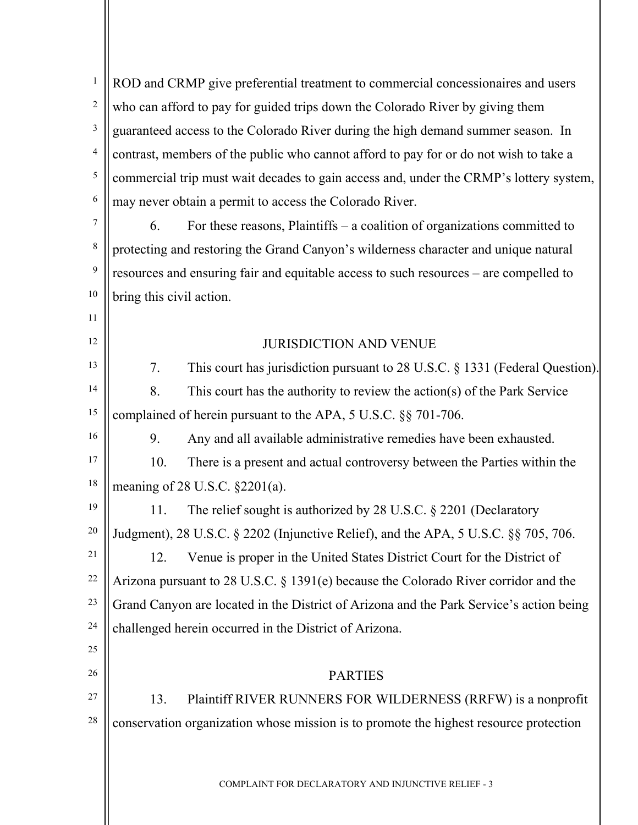| $\mathbf{1}$   | ROD and CRMP give preferential treatment to commercial concessionaires and users        |
|----------------|-----------------------------------------------------------------------------------------|
| $\overline{c}$ | who can afford to pay for guided trips down the Colorado River by giving them           |
| 3              | guaranteed access to the Colorado River during the high demand summer season. In        |
| 4              | contrast, members of the public who cannot afford to pay for or do not wish to take a   |
| $\sqrt{5}$     | commercial trip must wait decades to gain access and, under the CRMP's lottery system,  |
| 6              | may never obtain a permit to access the Colorado River.                                 |
| $\overline{7}$ | For these reasons, Plaintiffs $-$ a coalition of organizations committed to<br>6.       |
| 8              | protecting and restoring the Grand Canyon's wilderness character and unique natural     |
| 9              | resources and ensuring fair and equitable access to such resources – are compelled to   |
| $10\,$         | bring this civil action.                                                                |
| 11             |                                                                                         |
| 12             | <b>JURISDICTION AND VENUE</b>                                                           |
| 13             | This court has jurisdiction pursuant to 28 U.S.C. § 1331 (Federal Question).<br>7.      |
| 14             | 8.<br>This court has the authority to review the action(s) of the Park Service          |
| 15             | complained of herein pursuant to the APA, 5 U.S.C. §§ 701-706.                          |
| 16             | 9.<br>Any and all available administrative remedies have been exhausted.                |
| 17             | There is a present and actual controversy between the Parties within the<br>10.         |
| 18             | meaning of 28 U.S.C. $\S 2201(a)$ .                                                     |
| 19             | 11.<br>The relief sought is authorized by 28 U.S.C. $\S$ 2201 (Declaratory              |
| 20             | Judgment), 28 U.S.C. § 2202 (Injunctive Relief), and the APA, 5 U.S.C. §§ 705, 706.     |
| 21             | Venue is proper in the United States District Court for the District of<br>12.          |
| 22             | Arizona pursuant to 28 U.S.C. $\S$ 1391(e) because the Colorado River corridor and the  |
| 23             | Grand Canyon are located in the District of Arizona and the Park Service's action being |
| 24             | challenged herein occurred in the District of Arizona.                                  |
| 25             |                                                                                         |
| 26             | <b>PARTIES</b>                                                                          |
| 27             | Plaintiff RIVER RUNNERS FOR WILDERNESS (RRFW) is a nonprofit<br>13.                     |
| 28             | conservation organization whose mission is to promote the highest resource protection   |
|                |                                                                                         |
|                | COMPLAINT FOR DECLARATORY AND INJUNCTIVE RELIEF - 3                                     |
|                |                                                                                         |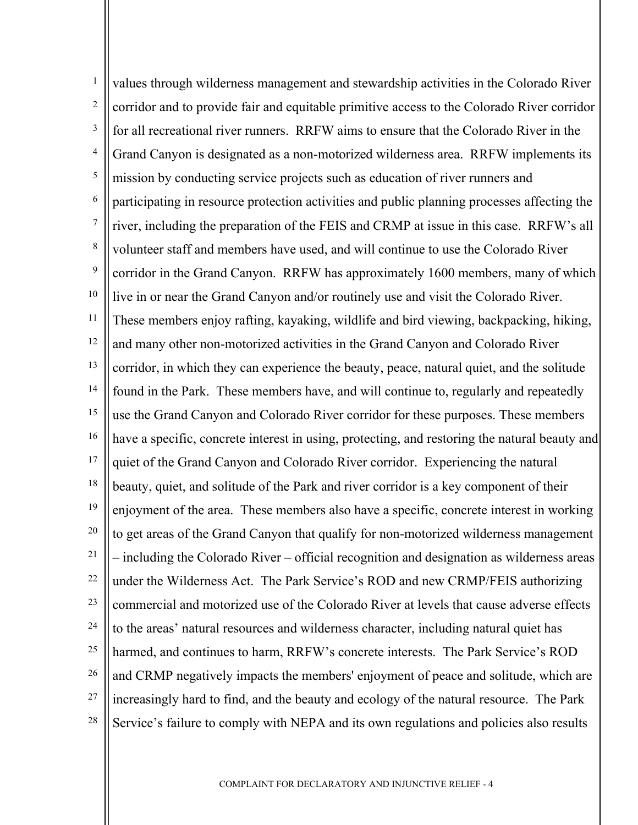1 2 3 4 5 6 7 8 9 10 11 12 13 14 15 16 17 18 19 20 21 22 23 24 25 26 27 28 values through wilderness management and stewardship activities in the Colorado River corridor and to provide fair and equitable primitive access to the Colorado River corridor for all recreational river runners. RRFW aims to ensure that the Colorado River in the Grand Canyon is designated as a non-motorized wilderness area. RRFW implements its mission by conducting service projects such as education of river runners and participating in resource protection activities and public planning processes affecting the river, including the preparation of the FEIS and CRMP at issue in this case. RRFW's all volunteer staff and members have used, and will continue to use the Colorado River corridor in the Grand Canyon. RRFW has approximately 1600 members, many of which live in or near the Grand Canyon and/or routinely use and visit the Colorado River. These members enjoy rafting, kayaking, wildlife and bird viewing, backpacking, hiking, and many other non-motorized activities in the Grand Canyon and Colorado River corridor, in which they can experience the beauty, peace, natural quiet, and the solitude found in the Park. These members have, and will continue to, regularly and repeatedly use the Grand Canyon and Colorado River corridor for these purposes. These members have a specific, concrete interest in using, protecting, and restoring the natural beauty and quiet of the Grand Canyon and Colorado River corridor. Experiencing the natural beauty, quiet, and solitude of the Park and river corridor is a key component of their enjoyment of the area. These members also have a specific, concrete interest in working to get areas of the Grand Canyon that qualify for non-motorized wilderness management – including the Colorado River – official recognition and designation as wilderness areas under the Wilderness Act. The Park Service's ROD and new CRMP/FEIS authorizing commercial and motorized use of the Colorado River at levels that cause adverse effects to the areas' natural resources and wilderness character, including natural quiet has harmed, and continues to harm, RRFW's concrete interests. The Park Service's ROD and CRMP negatively impacts the members' enjoyment of peace and solitude, which are increasingly hard to find, and the beauty and ecology of the natural resource. The Park Service's failure to comply with NEPA and its own regulations and policies also results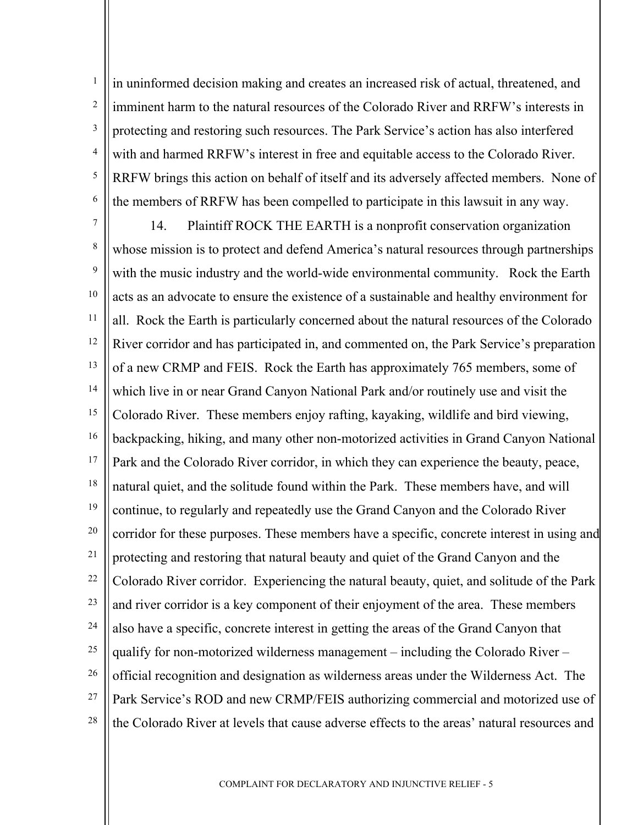1 2 3 4 5 6 in uninformed decision making and creates an increased risk of actual, threatened, and imminent harm to the natural resources of the Colorado River and RRFW's interests in protecting and restoring such resources. The Park Service's action has also interfered with and harmed RRFW's interest in free and equitable access to the Colorado River. RRFW brings this action on behalf of itself and its adversely affected members. None of the members of RRFW has been compelled to participate in this lawsuit in any way.

7 8 9 10 11 12 13 14 15 16 17 18 19 20 21 22 23 24 25 26 27 28 14. Plaintiff ROCK THE EARTH is a nonprofit conservation organization whose mission is to protect and defend America's natural resources through partnerships with the music industry and the world-wide environmental community. Rock the Earth acts as an advocate to ensure the existence of a sustainable and healthy environment for all. Rock the Earth is particularly concerned about the natural resources of the Colorado River corridor and has participated in, and commented on, the Park Service's preparation of a new CRMP and FEIS. Rock the Earth has approximately 765 members, some of which live in or near Grand Canyon National Park and/or routinely use and visit the Colorado River. These members enjoy rafting, kayaking, wildlife and bird viewing, backpacking, hiking, and many other non-motorized activities in Grand Canyon National Park and the Colorado River corridor, in which they can experience the beauty, peace, natural quiet, and the solitude found within the Park. These members have, and will continue, to regularly and repeatedly use the Grand Canyon and the Colorado River corridor for these purposes. These members have a specific, concrete interest in using and protecting and restoring that natural beauty and quiet of the Grand Canyon and the Colorado River corridor. Experiencing the natural beauty, quiet, and solitude of the Park and river corridor is a key component of their enjoyment of the area. These members also have a specific, concrete interest in getting the areas of the Grand Canyon that qualify for non-motorized wilderness management – including the Colorado River – official recognition and designation as wilderness areas under the Wilderness Act. The Park Service's ROD and new CRMP/FEIS authorizing commercial and motorized use of the Colorado River at levels that cause adverse effects to the areas' natural resources and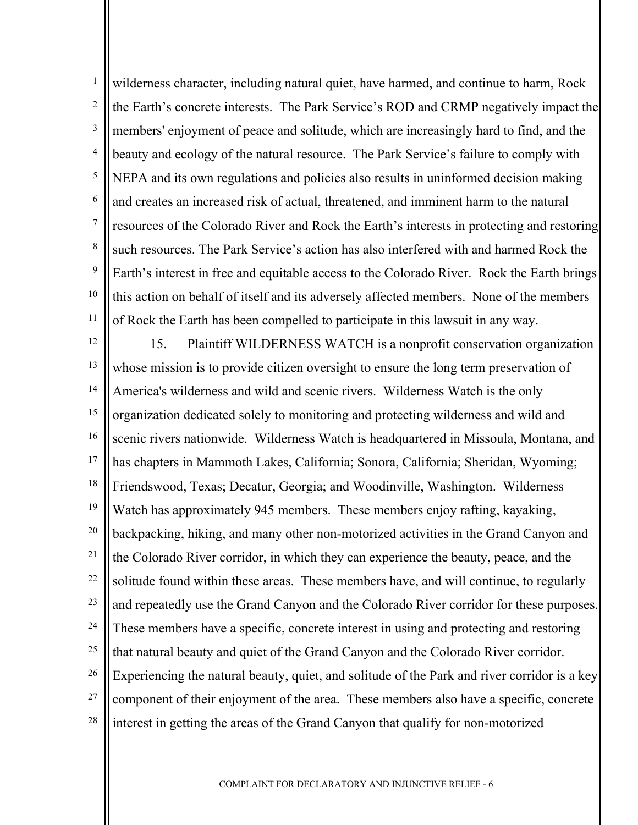1 2 3 4 5 6 7 8 9 10 11 wilderness character, including natural quiet, have harmed, and continue to harm, Rock the Earth's concrete interests. The Park Service's ROD and CRMP negatively impact the members' enjoyment of peace and solitude, which are increasingly hard to find, and the beauty and ecology of the natural resource. The Park Service's failure to comply with NEPA and its own regulations and policies also results in uninformed decision making and creates an increased risk of actual, threatened, and imminent harm to the natural resources of the Colorado River and Rock the Earth's interests in protecting and restoring such resources. The Park Service's action has also interfered with and harmed Rock the Earth's interest in free and equitable access to the Colorado River. Rock the Earth brings this action on behalf of itself and its adversely affected members. None of the members of Rock the Earth has been compelled to participate in this lawsuit in any way.

12 13 14 15 16 17 18 19 20 21 22 23 24 25 26 27 28 15. Plaintiff WILDERNESS WATCH is a nonprofit conservation organization whose mission is to provide citizen oversight to ensure the long term preservation of America's wilderness and wild and scenic rivers. Wilderness Watch is the only organization dedicated solely to monitoring and protecting wilderness and wild and scenic rivers nationwide. Wilderness Watch is headquartered in Missoula, Montana, and has chapters in Mammoth Lakes, California; Sonora, California; Sheridan, Wyoming; Friendswood, Texas; Decatur, Georgia; and Woodinville, Washington. Wilderness Watch has approximately 945 members. These members enjoy rafting, kayaking, backpacking, hiking, and many other non-motorized activities in the Grand Canyon and the Colorado River corridor, in which they can experience the beauty, peace, and the solitude found within these areas. These members have, and will continue, to regularly and repeatedly use the Grand Canyon and the Colorado River corridor for these purposes. These members have a specific, concrete interest in using and protecting and restoring that natural beauty and quiet of the Grand Canyon and the Colorado River corridor. Experiencing the natural beauty, quiet, and solitude of the Park and river corridor is a key component of their enjoyment of the area. These members also have a specific, concrete interest in getting the areas of the Grand Canyon that qualify for non-motorized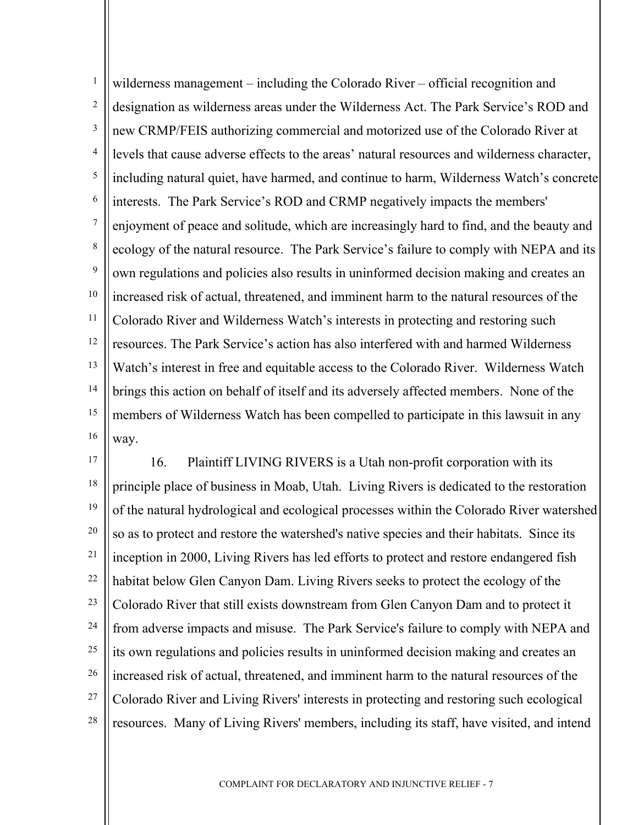1 2 3 4 5 6 7 8 9 10 11 12 13 14 15 16 wilderness management – including the Colorado River – official recognition and designation as wilderness areas under the Wilderness Act. The Park Service's ROD and new CRMP/FEIS authorizing commercial and motorized use of the Colorado River at levels that cause adverse effects to the areas' natural resources and wilderness character, including natural quiet, have harmed, and continue to harm, Wilderness Watch's concrete interests. The Park Service's ROD and CRMP negatively impacts the members' enjoyment of peace and solitude, which are increasingly hard to find, and the beauty and ecology of the natural resource. The Park Service's failure to comply with NEPA and its own regulations and policies also results in uninformed decision making and creates an increased risk of actual, threatened, and imminent harm to the natural resources of the Colorado River and Wilderness Watch's interests in protecting and restoring such resources. The Park Service's action has also interfered with and harmed Wilderness Watch's interest in free and equitable access to the Colorado River. Wilderness Watch brings this action on behalf of itself and its adversely affected members. None of the members of Wilderness Watch has been compelled to participate in this lawsuit in any way.

17 18 19 20 21 22 23 24 25 26 27 28 16. Plaintiff LIVING RIVERS is a Utah non-profit corporation with its principle place of business in Moab, Utah. Living Rivers is dedicated to the restoration of the natural hydrological and ecological processes within the Colorado River watershed so as to protect and restore the watershed's native species and their habitats. Since its inception in 2000, Living Rivers has led efforts to protect and restore endangered fish habitat below Glen Canyon Dam. Living Rivers seeks to protect the ecology of the Colorado River that still exists downstream from Glen Canyon Dam and to protect it from adverse impacts and misuse. The Park Service's failure to comply with NEPA and its own regulations and policies results in uninformed decision making and creates an increased risk of actual, threatened, and imminent harm to the natural resources of the Colorado River and Living Rivers' interests in protecting and restoring such ecological resources. Many of Living Rivers' members, including its staff, have visited, and intend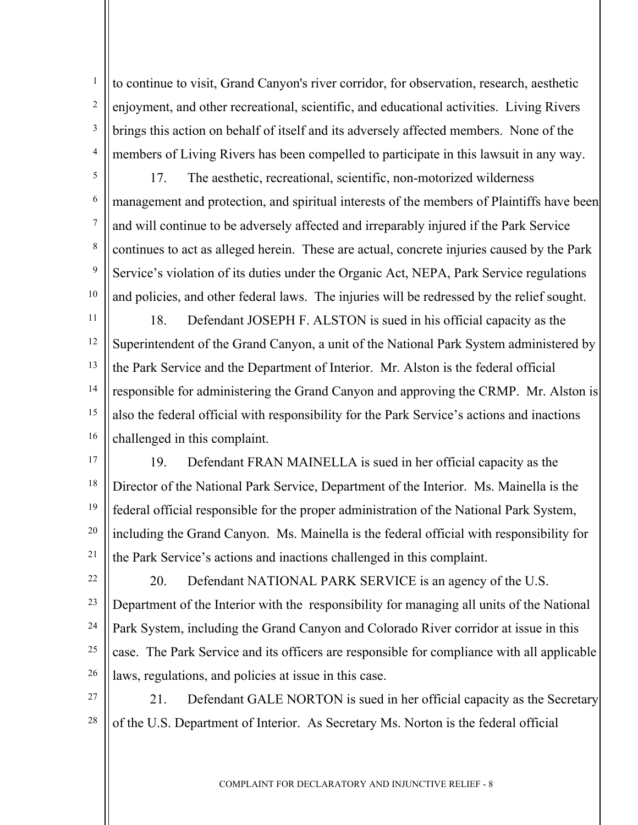2 3 4 to continue to visit, Grand Canyon's river corridor, for observation, research, aesthetic enjoyment, and other recreational, scientific, and educational activities. Living Rivers brings this action on behalf of itself and its adversely affected members. None of the members of Living Rivers has been compelled to participate in this lawsuit in any way.

1

5 6 7 8 9 10 17. The aesthetic, recreational, scientific, non-motorized wilderness management and protection, and spiritual interests of the members of Plaintiffs have been and will continue to be adversely affected and irreparably injured if the Park Service continues to act as alleged herein. These are actual, concrete injuries caused by the Park Service's violation of its duties under the Organic Act, NEPA, Park Service regulations and policies, and other federal laws. The injuries will be redressed by the relief sought.

11 12 13 14 15 16 18. Defendant JOSEPH F. ALSTON is sued in his official capacity as the Superintendent of the Grand Canyon, a unit of the National Park System administered by the Park Service and the Department of Interior. Mr. Alston is the federal official responsible for administering the Grand Canyon and approving the CRMP. Mr. Alston is also the federal official with responsibility for the Park Service's actions and inactions challenged in this complaint.

- 17 18 19 20 21 19. Defendant FRAN MAINELLA is sued in her official capacity as the Director of the National Park Service, Department of the Interior. Ms. Mainella is the federal official responsible for the proper administration of the National Park System, including the Grand Canyon. Ms. Mainella is the federal official with responsibility for the Park Service's actions and inactions challenged in this complaint.
- 22 23 24 25 26 20. Defendant NATIONAL PARK SERVICE is an agency of the U.S. Department of the Interior with the responsibility for managing all units of the National Park System, including the Grand Canyon and Colorado River corridor at issue in this case. The Park Service and its officers are responsible for compliance with all applicable laws, regulations, and policies at issue in this case.
- 27 28 21. Defendant GALE NORTON is sued in her official capacity as the Secretary of the U.S. Department of Interior. As Secretary Ms. Norton is the federal official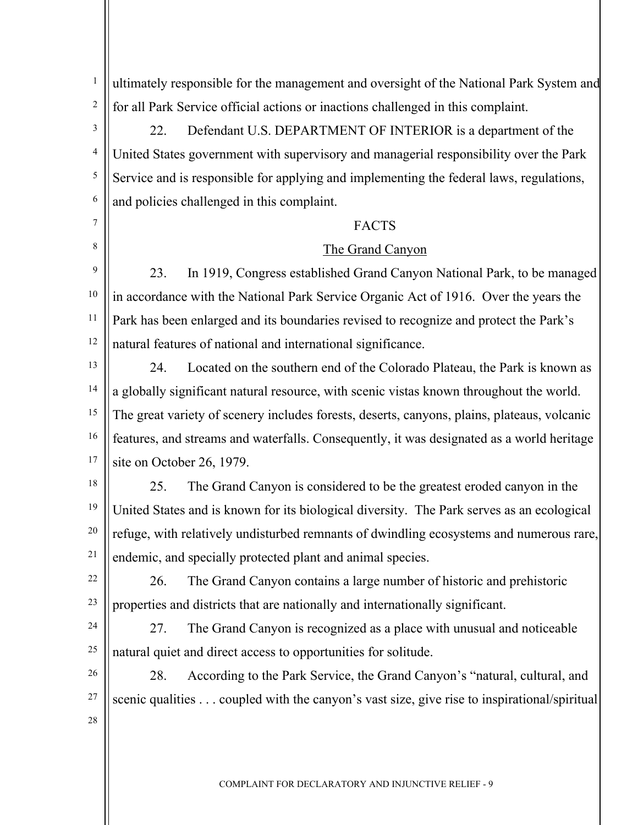1 2 ultimately responsible for the management and oversight of the National Park System and for all Park Service official actions or inactions challenged in this complaint.

3 4 5 6 22. Defendant U.S. DEPARTMENT OF INTERIOR is a department of the United States government with supervisory and managerial responsibility over the Park Service and is responsible for applying and implementing the federal laws, regulations, and policies challenged in this complaint.

# **FACTS**

#### The Grand Canyon

9 10 11 12 23. In 1919, Congress established Grand Canyon National Park, to be managed in accordance with the National Park Service Organic Act of 1916. Over the years the Park has been enlarged and its boundaries revised to recognize and protect the Park's natural features of national and international significance.

13 14 15 16 17 24. Located on the southern end of the Colorado Plateau, the Park is known as a globally significant natural resource, with scenic vistas known throughout the world. The great variety of scenery includes forests, deserts, canyons, plains, plateaus, volcanic features, and streams and waterfalls. Consequently, it was designated as a world heritage site on October 26, 1979.

18

7

8

19 20 25. The Grand Canyon is considered to be the greatest eroded canyon in the United States and is known for its biological diversity. The Park serves as an ecological refuge, with relatively undisturbed remnants of dwindling ecosystems and numerous rare, endemic, and specially protected plant and animal species.

22 23

21

 26. The Grand Canyon contains a large number of historic and prehistoric properties and districts that are nationally and internationally significant.

24

25

 27. The Grand Canyon is recognized as a place with unusual and noticeable natural quiet and direct access to opportunities for solitude.

26 27 28 28. According to the Park Service, the Grand Canyon's "natural, cultural, and scenic qualities . . . coupled with the canyon's vast size, give rise to inspirational/spiritual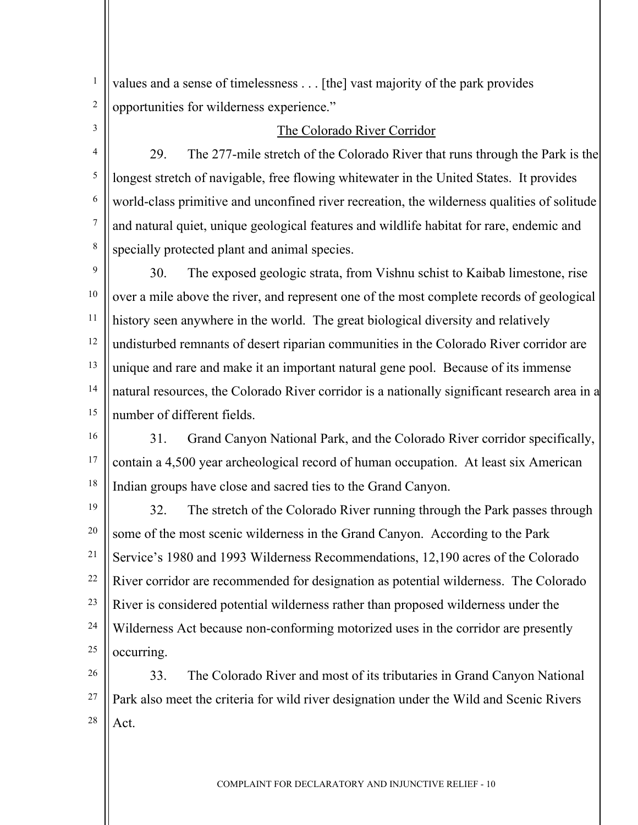values and a sense of timelessness . . . [the] vast majority of the park provides opportunities for wilderness experience."

3 4

5

6

7

8

1

2

#### The Colorado River Corridor

29. The 277-mile stretch of the Colorado River that runs through the Park is the longest stretch of navigable, free flowing whitewater in the United States. It provides world-class primitive and unconfined river recreation, the wilderness qualities of solitude and natural quiet, unique geological features and wildlife habitat for rare, endemic and specially protected plant and animal species.

9 10 11 12 13 14 15 30. The exposed geologic strata, from Vishnu schist to Kaibab limestone, rise over a mile above the river, and represent one of the most complete records of geological history seen anywhere in the world. The great biological diversity and relatively undisturbed remnants of desert riparian communities in the Colorado River corridor are unique and rare and make it an important natural gene pool. Because of its immense natural resources, the Colorado River corridor is a nationally significant research area in a number of different fields.

16 17 18 31. Grand Canyon National Park, and the Colorado River corridor specifically, contain a 4,500 year archeological record of human occupation. At least six American Indian groups have close and sacred ties to the Grand Canyon.

19 20 21 22 23 24 25 32. The stretch of the Colorado River running through the Park passes through some of the most scenic wilderness in the Grand Canyon. According to the Park Service's 1980 and 1993 Wilderness Recommendations, 12,190 acres of the Colorado River corridor are recommended for designation as potential wilderness. The Colorado River is considered potential wilderness rather than proposed wilderness under the Wilderness Act because non-conforming motorized uses in the corridor are presently occurring.

26 27 28 33. The Colorado River and most of its tributaries in Grand Canyon National Park also meet the criteria for wild river designation under the Wild and Scenic Rivers Act.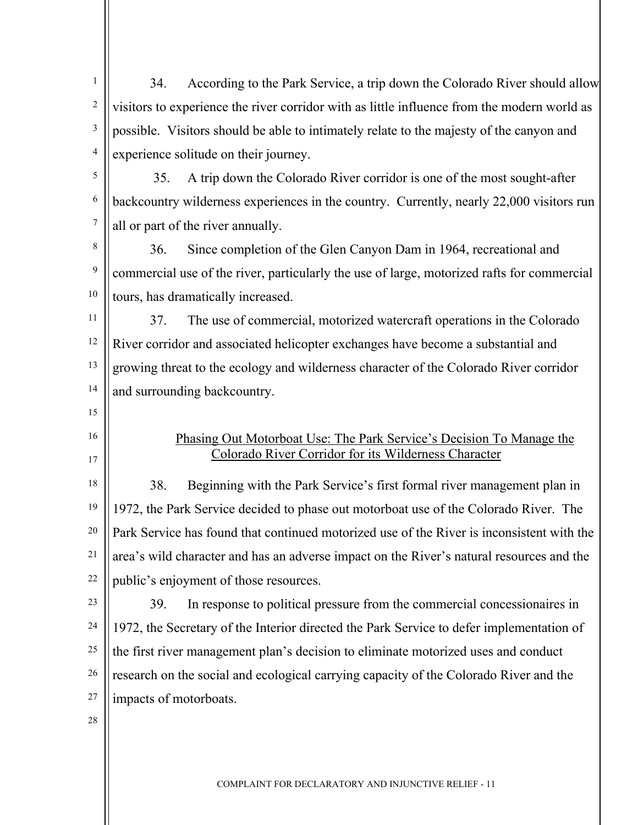1 2 3 4 34. According to the Park Service, a trip down the Colorado River should allow visitors to experience the river corridor with as little influence from the modern world as possible. Visitors should be able to intimately relate to the majesty of the canyon and experience solitude on their journey.

5 6 7 35. A trip down the Colorado River corridor is one of the most sought-after backcountry wilderness experiences in the country. Currently, nearly 22,000 visitors run all or part of the river annually.

8 9 10 36. Since completion of the Glen Canyon Dam in 1964, recreational and commercial use of the river, particularly the use of large, motorized rafts for commercial tours, has dramatically increased.

11 12 13 14 37. The use of commercial, motorized watercraft operations in the Colorado River corridor and associated helicopter exchanges have become a substantial and growing threat to the ecology and wilderness character of the Colorado River corridor and surrounding backcountry.

- 15
- 16 17

### Phasing Out Motorboat Use: The Park Service's Decision To Manage the Colorado River Corridor for its Wilderness Character

18 19 20 21 22 38. Beginning with the Park Service's first formal river management plan in 1972, the Park Service decided to phase out motorboat use of the Colorado River. The Park Service has found that continued motorized use of the River is inconsistent with the area's wild character and has an adverse impact on the River's natural resources and the public's enjoyment of those resources.

- 23 24 25 26 27 39. In response to political pressure from the commercial concessionaires in 1972, the Secretary of the Interior directed the Park Service to defer implementation of the first river management plan's decision to eliminate motorized uses and conduct research on the social and ecological carrying capacity of the Colorado River and the impacts of motorboats.
- 28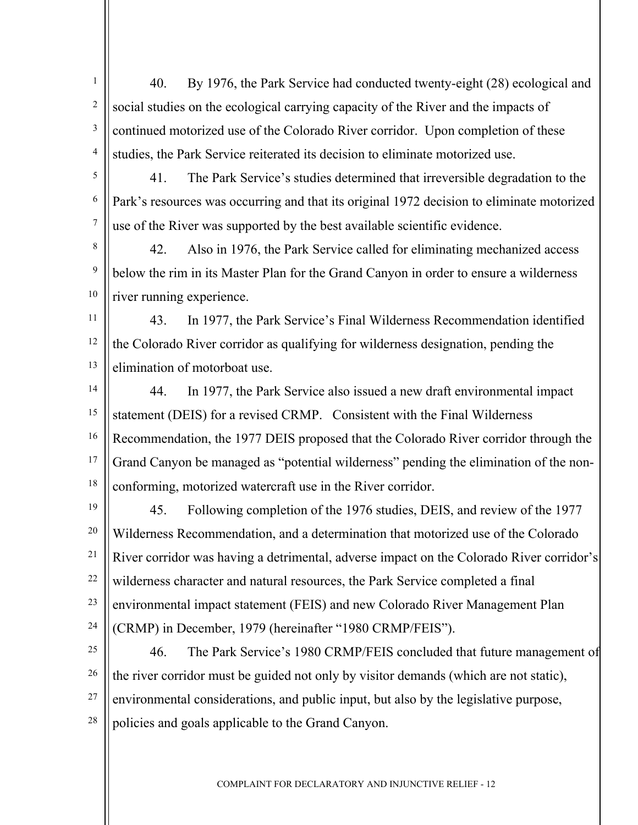1 2 3 4 40. By 1976, the Park Service had conducted twenty-eight (28) ecological and social studies on the ecological carrying capacity of the River and the impacts of continued motorized use of the Colorado River corridor. Upon completion of these studies, the Park Service reiterated its decision to eliminate motorized use.

5 6 7 41. The Park Service's studies determined that irreversible degradation to the Park's resources was occurring and that its original 1972 decision to eliminate motorized use of the River was supported by the best available scientific evidence.

8 9 10 42. Also in 1976, the Park Service called for eliminating mechanized access below the rim in its Master Plan for the Grand Canyon in order to ensure a wilderness river running experience.

11 12 13 43. In 1977, the Park Service's Final Wilderness Recommendation identified the Colorado River corridor as qualifying for wilderness designation, pending the elimination of motorboat use.

- 14 15 16 17 18 44. In 1977, the Park Service also issued a new draft environmental impact statement (DEIS) for a revised CRMP. Consistent with the Final Wilderness Recommendation, the 1977 DEIS proposed that the Colorado River corridor through the Grand Canyon be managed as "potential wilderness" pending the elimination of the nonconforming, motorized watercraft use in the River corridor.
- 19 20 21 22 23 24 45. Following completion of the 1976 studies, DEIS, and review of the 1977 Wilderness Recommendation, and a determination that motorized use of the Colorado River corridor was having a detrimental, adverse impact on the Colorado River corridor's wilderness character and natural resources, the Park Service completed a final environmental impact statement (FEIS) and new Colorado River Management Plan (CRMP) in December, 1979 (hereinafter "1980 CRMP/FEIS").

25 26 27 28 46. The Park Service's 1980 CRMP/FEIS concluded that future management of the river corridor must be guided not only by visitor demands (which are not static), environmental considerations, and public input, but also by the legislative purpose, policies and goals applicable to the Grand Canyon.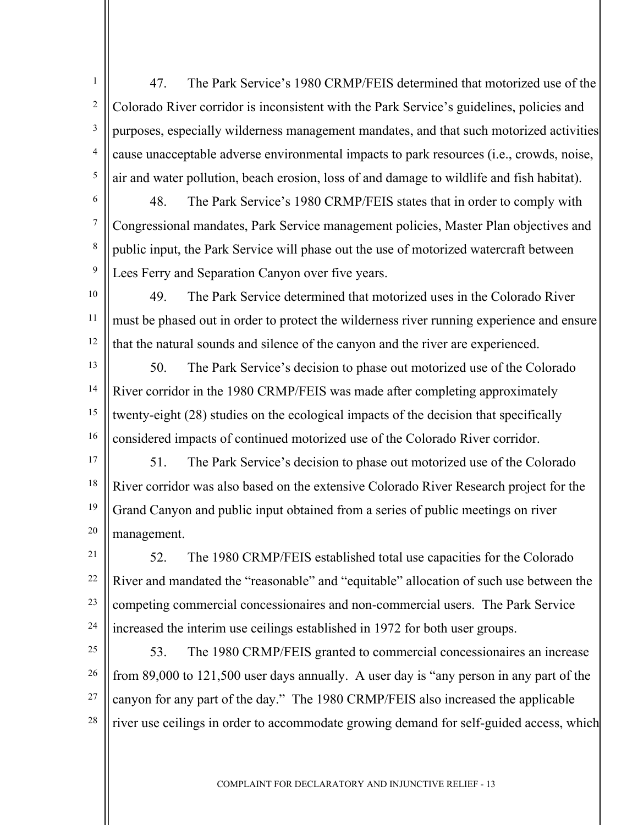1 2 3 4 5 47. The Park Service's 1980 CRMP/FEIS determined that motorized use of the Colorado River corridor is inconsistent with the Park Service's guidelines, policies and purposes, especially wilderness management mandates, and that such motorized activities cause unacceptable adverse environmental impacts to park resources (i.e., crowds, noise, air and water pollution, beach erosion, loss of and damage to wildlife and fish habitat).

6 7 8 9 48. The Park Service's 1980 CRMP/FEIS states that in order to comply with Congressional mandates, Park Service management policies, Master Plan objectives and public input, the Park Service will phase out the use of motorized watercraft between Lees Ferry and Separation Canyon over five years.

10

11

12

49. The Park Service determined that motorized uses in the Colorado River must be phased out in order to protect the wilderness river running experience and ensure that the natural sounds and silence of the canyon and the river are experienced.

13 14 15 16 50. The Park Service's decision to phase out motorized use of the Colorado River corridor in the 1980 CRMP/FEIS was made after completing approximately twenty-eight (28) studies on the ecological impacts of the decision that specifically considered impacts of continued motorized use of the Colorado River corridor.

17 18 19 20 51. The Park Service's decision to phase out motorized use of the Colorado River corridor was also based on the extensive Colorado River Research project for the Grand Canyon and public input obtained from a series of public meetings on river management.

21 22 23 24 52. The 1980 CRMP/FEIS established total use capacities for the Colorado River and mandated the "reasonable" and "equitable" allocation of such use between the competing commercial concessionaires and non-commercial users. The Park Service increased the interim use ceilings established in 1972 for both user groups.

25 26 27 28 53. The 1980 CRMP/FEIS granted to commercial concessionaires an increase from 89,000 to 121,500 user days annually. A user day is "any person in any part of the canyon for any part of the day." The 1980 CRMP/FEIS also increased the applicable river use ceilings in order to accommodate growing demand for self-guided access, which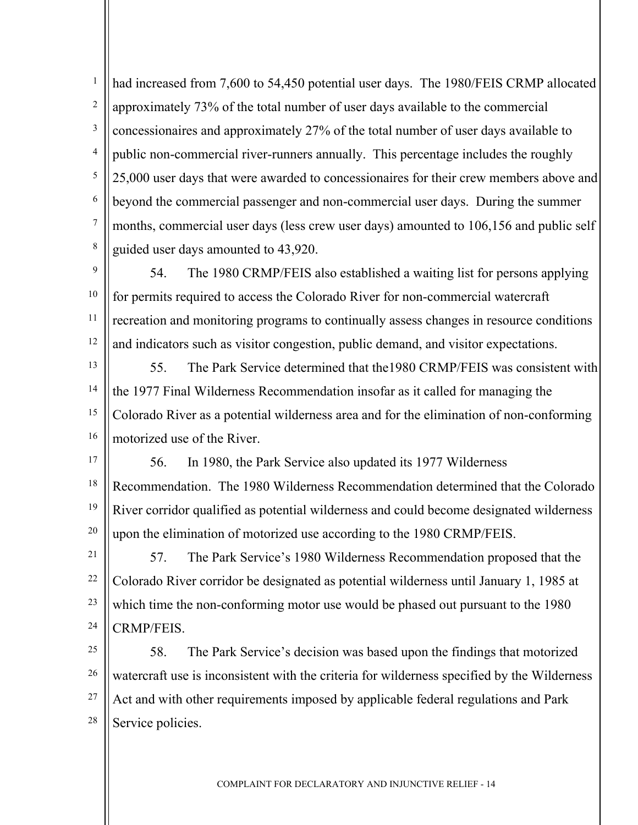1 2 3 4 5 6 7 8 had increased from 7,600 to 54,450 potential user days. The 1980/FEIS CRMP allocated approximately 73% of the total number of user days available to the commercial concessionaires and approximately 27% of the total number of user days available to public non-commercial river-runners annually. This percentage includes the roughly 25,000 user days that were awarded to concessionaires for their crew members above and beyond the commercial passenger and non-commercial user days. During the summer months, commercial user days (less crew user days) amounted to 106,156 and public self guided user days amounted to 43,920.

 $\overline{Q}$ 10 11 12 54. The 1980 CRMP/FEIS also established a waiting list for persons applying for permits required to access the Colorado River for non-commercial watercraft recreation and monitoring programs to continually assess changes in resource conditions and indicators such as visitor congestion, public demand, and visitor expectations.

13 14 15 16 55. The Park Service determined that the1980 CRMP/FEIS was consistent with the 1977 Final Wilderness Recommendation insofar as it called for managing the Colorado River as a potential wilderness area and for the elimination of non-conforming motorized use of the River.

17 18 19 20 56. In 1980, the Park Service also updated its 1977 Wilderness Recommendation. The 1980 Wilderness Recommendation determined that the Colorado River corridor qualified as potential wilderness and could become designated wilderness upon the elimination of motorized use according to the 1980 CRMP/FEIS.

21 22 23 24 57. The Park Service's 1980 Wilderness Recommendation proposed that the Colorado River corridor be designated as potential wilderness until January 1, 1985 at which time the non-conforming motor use would be phased out pursuant to the 1980 CRMP/FEIS.

25 26 27 28 58. The Park Service's decision was based upon the findings that motorized watercraft use is inconsistent with the criteria for wilderness specified by the Wilderness Act and with other requirements imposed by applicable federal regulations and Park Service policies.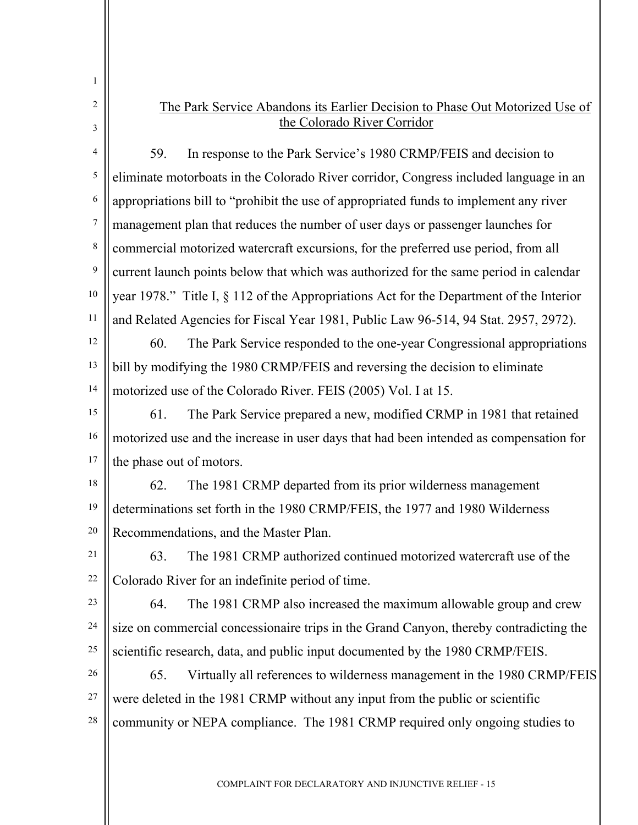| 1      |                                                                                                             |
|--------|-------------------------------------------------------------------------------------------------------------|
| 2<br>3 | The Park Service Abandons its Earlier Decision to Phase Out Motorized Use of<br>the Colorado River Corridor |
| 4      | 59.<br>In response to the Park Service's 1980 CRMP/FEIS and decision to                                     |
| 5      | eliminate motorboats in the Colorado River corridor, Congress included language in an                       |
| 6      | appropriations bill to "prohibit the use of appropriated funds to implement any river                       |
| 7      | management plan that reduces the number of user days or passenger launches for                              |
| 8      | commercial motorized watercraft excursions, for the preferred use period, from all                          |
| 9      | current launch points below that which was authorized for the same period in calendar                       |
| 10     | year 1978." Title I, § 112 of the Appropriations Act for the Department of the Interior                     |
| 11     | and Related Agencies for Fiscal Year 1981, Public Law 96-514, 94 Stat. 2957, 2972).                         |
| 12     | 60.<br>The Park Service responded to the one-year Congressional appropriations                              |
| 13     | bill by modifying the 1980 CRMP/FEIS and reversing the decision to eliminate                                |
| 14     | motorized use of the Colorado River. FEIS (2005) Vol. I at 15.                                              |
| 15     | The Park Service prepared a new, modified CRMP in 1981 that retained<br>61.                                 |
| 16     | motorized use and the increase in user days that had been intended as compensation for                      |
| 17     | the phase out of motors.                                                                                    |
| 18     | 62.<br>The 1981 CRMP departed from its prior wilderness management                                          |
| 19     | determinations set forth in the 1980 CRMP/FEIS, the 1977 and 1980 Wilderness                                |
| 20     | Recommendations, and the Master Plan.                                                                       |
| 21     | The 1981 CRMP authorized continued motorized watercraft use of the<br>63.                                   |
| 22     | Colorado River for an indefinite period of time.                                                            |
| 23     | 64.<br>The 1981 CRMP also increased the maximum allowable group and crew                                    |
| 24     | size on commercial concessionaire trips in the Grand Canyon, thereby contradicting the                      |
| 25     | scientific research, data, and public input documented by the 1980 CRMP/FEIS.                               |
| 26     | Virtually all references to wilderness management in the 1980 CRMP/FEIS<br>65.                              |
| 27     | were deleted in the 1981 CRMP without any input from the public or scientific                               |
| 28     | community or NEPA compliance. The 1981 CRMP required only ongoing studies to                                |
|        |                                                                                                             |
|        |                                                                                                             |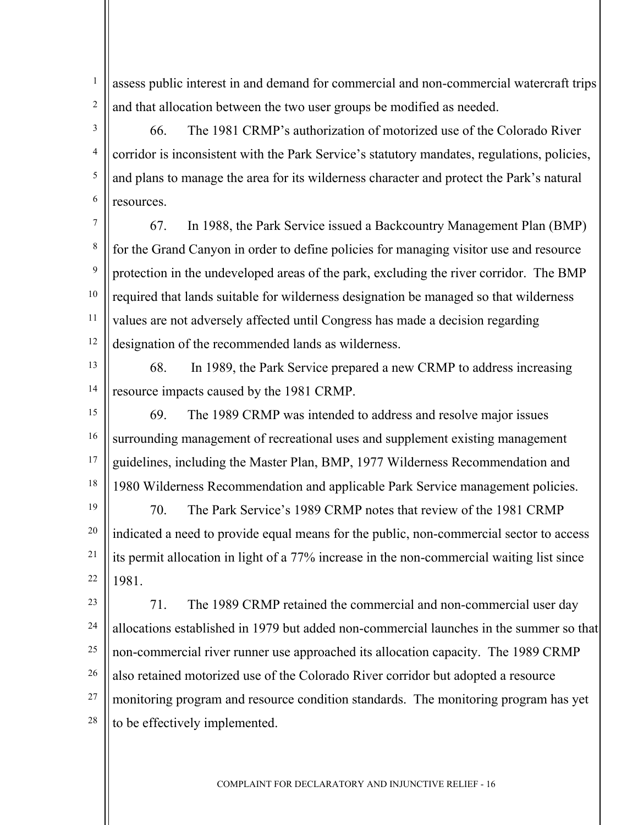1 2 assess public interest in and demand for commercial and non-commercial watercraft trips and that allocation between the two user groups be modified as needed.

66. The 1981 CRMP's authorization of motorized use of the Colorado River corridor is inconsistent with the Park Service's statutory mandates, regulations, policies, and plans to manage the area for its wilderness character and protect the Park's natural resources.

7 8 9 10 11 12 67. In 1988, the Park Service issued a Backcountry Management Plan (BMP) for the Grand Canyon in order to define policies for managing visitor use and resource protection in the undeveloped areas of the park, excluding the river corridor. The BMP required that lands suitable for wilderness designation be managed so that wilderness values are not adversely affected until Congress has made a decision regarding designation of the recommended lands as wilderness.

13

3

4

5

6

14 68. In 1989, the Park Service prepared a new CRMP to address increasing resource impacts caused by the 1981 CRMP.

15 16 17 18 69. The 1989 CRMP was intended to address and resolve major issues surrounding management of recreational uses and supplement existing management guidelines, including the Master Plan, BMP, 1977 Wilderness Recommendation and 1980 Wilderness Recommendation and applicable Park Service management policies.

19 20 21 22 70. The Park Service's 1989 CRMP notes that review of the 1981 CRMP indicated a need to provide equal means for the public, non-commercial sector to access its permit allocation in light of a 77% increase in the non-commercial waiting list since 1981.

23 24 25 26 27 28 71. The 1989 CRMP retained the commercial and non-commercial user day allocations established in 1979 but added non-commercial launches in the summer so that non-commercial river runner use approached its allocation capacity. The 1989 CRMP also retained motorized use of the Colorado River corridor but adopted a resource monitoring program and resource condition standards. The monitoring program has yet to be effectively implemented.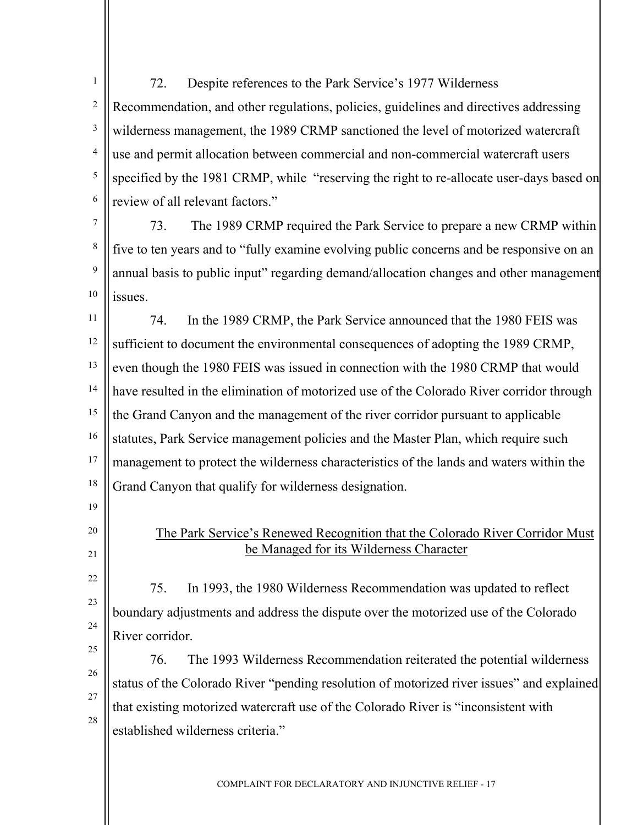1 2 3 4 5 6 72. Despite references to the Park Service's 1977 Wilderness Recommendation, and other regulations, policies, guidelines and directives addressing wilderness management, the 1989 CRMP sanctioned the level of motorized watercraft use and permit allocation between commercial and non-commercial watercraft users specified by the 1981 CRMP, while "reserving the right to re-allocate user-days based on review of all relevant factors."

7 8 9 10 73. The 1989 CRMP required the Park Service to prepare a new CRMP within five to ten years and to "fully examine evolving public concerns and be responsive on an annual basis to public input" regarding demand/allocation changes and other management issues.

11 12 13 14 15 16 17 18 74. In the 1989 CRMP, the Park Service announced that the 1980 FEIS was sufficient to document the environmental consequences of adopting the 1989 CRMP, even though the 1980 FEIS was issued in connection with the 1980 CRMP that would have resulted in the elimination of motorized use of the Colorado River corridor through the Grand Canyon and the management of the river corridor pursuant to applicable statutes, Park Service management policies and the Master Plan, which require such management to protect the wilderness characteristics of the lands and waters within the Grand Canyon that qualify for wilderness designation.

> The Park Service's Renewed Recognition that the Colorado River Corridor Must be Managed for its Wilderness Character

75. In 1993, the 1980 Wilderness Recommendation was updated to reflect boundary adjustments and address the dispute over the motorized use of the Colorado River corridor.

26 27 28 76. The 1993 Wilderness Recommendation reiterated the potential wilderness status of the Colorado River "pending resolution of motorized river issues" and explained that existing motorized watercraft use of the Colorado River is "inconsistent with established wilderness criteria."

COMPLAINT FOR DECLARATORY AND INJUNCTIVE RELIEF - 17

21 22

23

24

19

20

25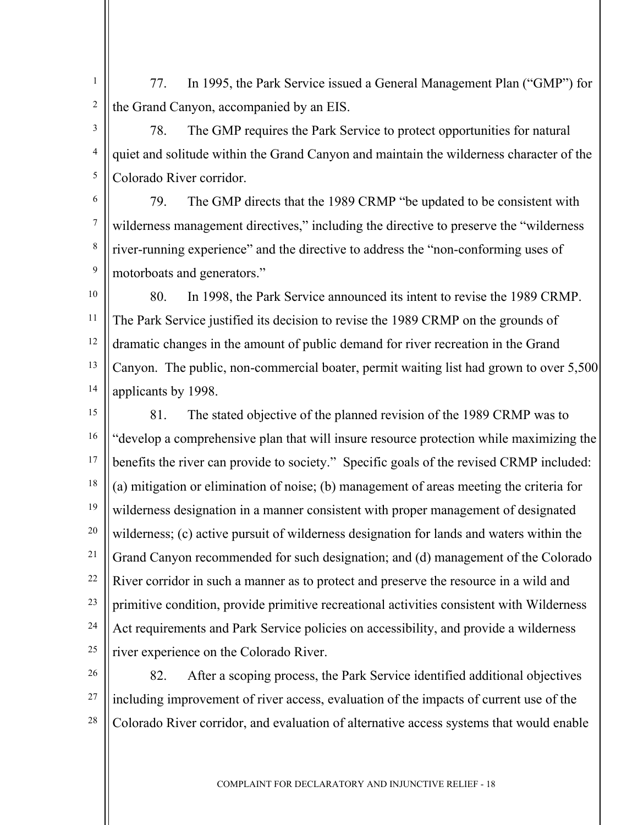1 2 77. In 1995, the Park Service issued a General Management Plan ("GMP") for the Grand Canyon, accompanied by an EIS.

3 4 5 78. The GMP requires the Park Service to protect opportunities for natural quiet and solitude within the Grand Canyon and maintain the wilderness character of the Colorado River corridor.

6 7 8 9 79. The GMP directs that the 1989 CRMP "be updated to be consistent with wilderness management directives," including the directive to preserve the "wilderness" river-running experience" and the directive to address the "non-conforming uses of motorboats and generators."

10 11 12 13 14 80. In 1998, the Park Service announced its intent to revise the 1989 CRMP. The Park Service justified its decision to revise the 1989 CRMP on the grounds of dramatic changes in the amount of public demand for river recreation in the Grand Canyon. The public, non-commercial boater, permit waiting list had grown to over 5,500 applicants by 1998.

15 16 17 18 19 20 21 22 23 24 25 81. The stated objective of the planned revision of the 1989 CRMP was to "develop a comprehensive plan that will insure resource protection while maximizing the benefits the river can provide to society." Specific goals of the revised CRMP included: (a) mitigation or elimination of noise; (b) management of areas meeting the criteria for wilderness designation in a manner consistent with proper management of designated wilderness; (c) active pursuit of wilderness designation for lands and waters within the Grand Canyon recommended for such designation; and (d) management of the Colorado River corridor in such a manner as to protect and preserve the resource in a wild and primitive condition, provide primitive recreational activities consistent with Wilderness Act requirements and Park Service policies on accessibility, and provide a wilderness river experience on the Colorado River.

26 27 28 82. After a scoping process, the Park Service identified additional objectives including improvement of river access, evaluation of the impacts of current use of the Colorado River corridor, and evaluation of alternative access systems that would enable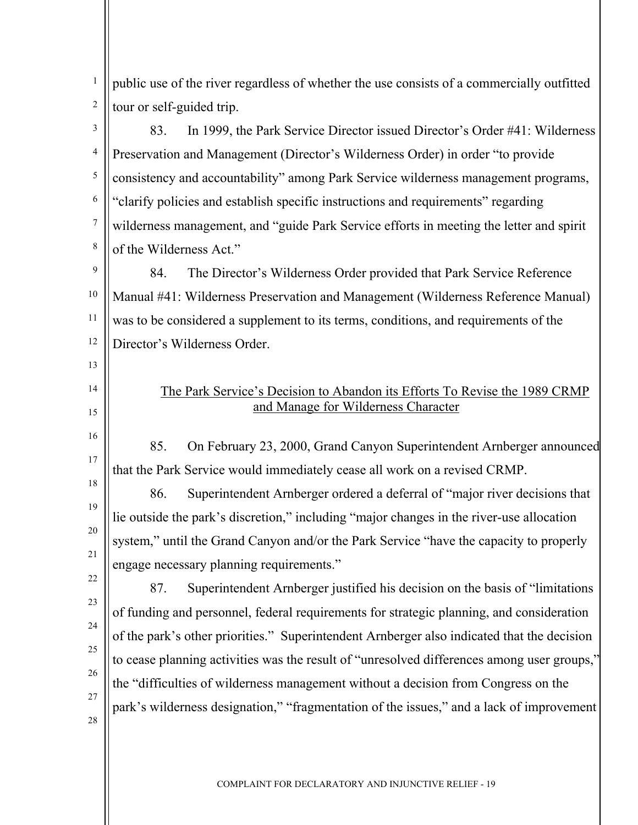1 2 public use of the river regardless of whether the use consists of a commercially outfitted tour or self-guided trip.

3 4 5 6 7 8 83. In 1999, the Park Service Director issued Director's Order #41: Wilderness Preservation and Management (Director's Wilderness Order) in order "to provide consistency and accountability" among Park Service wilderness management programs, "clarify policies and establish specific instructions and requirements" regarding wilderness management, and "guide Park Service efforts in meeting the letter and spirit of the Wilderness Act."

9 10 11 12 84. The Director's Wilderness Order provided that Park Service Reference Manual #41: Wilderness Preservation and Management (Wilderness Reference Manual) was to be considered a supplement to its terms, conditions, and requirements of the Director's Wilderness Order.

## The Park Service's Decision to Abandon its Efforts To Revise the 1989 CRMP and Manage for Wilderness Character

85. On February 23, 2000, Grand Canyon Superintendent Arnberger announced that the Park Service would immediately cease all work on a revised CRMP.

86. Superintendent Arnberger ordered a deferral of "major river decisions that lie outside the park's discretion," including "major changes in the river-use allocation system," until the Grand Canyon and/or the Park Service "have the capacity to properly engage necessary planning requirements."

22 23

26

27

28

13

14

15

16

17

18

19

20

21

24 25 87. Superintendent Arnberger justified his decision on the basis of "limitations of funding and personnel, federal requirements for strategic planning, and consideration of the park's other priorities." Superintendent Arnberger also indicated that the decision to cease planning activities was the result of "unresolved differences among user groups," the "difficulties of wilderness management without a decision from Congress on the park's wilderness designation," "fragmentation of the issues," and a lack of improvement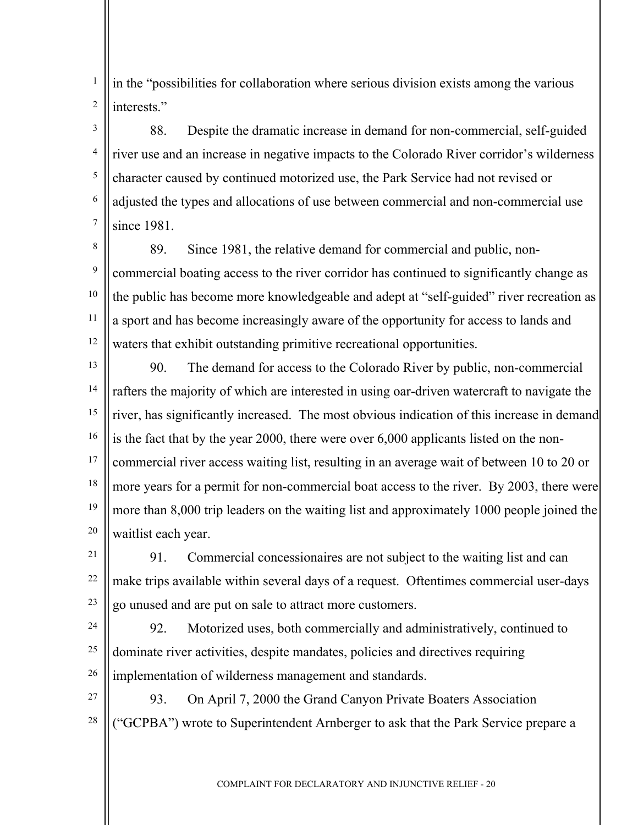1 2 in the "possibilities for collaboration where serious division exists among the various interests."

3 4 5 6 7 88. Despite the dramatic increase in demand for non-commercial, self-guided river use and an increase in negative impacts to the Colorado River corridor's wilderness character caused by continued motorized use, the Park Service had not revised or adjusted the types and allocations of use between commercial and non-commercial use since 1981.

8 9 10 11 12 89. Since 1981, the relative demand for commercial and public, noncommercial boating access to the river corridor has continued to significantly change as the public has become more knowledgeable and adept at "self-guided" river recreation as a sport and has become increasingly aware of the opportunity for access to lands and waters that exhibit outstanding primitive recreational opportunities.

13 14 15 16 17 18 19 20 90. The demand for access to the Colorado River by public, non-commercial rafters the majority of which are interested in using oar-driven watercraft to navigate the river, has significantly increased. The most obvious indication of this increase in demand is the fact that by the year 2000, there were over 6,000 applicants listed on the noncommercial river access waiting list, resulting in an average wait of between 10 to 20 or more years for a permit for non-commercial boat access to the river. By 2003, there were more than 8,000 trip leaders on the waiting list and approximately 1000 people joined the waitlist each year.

21 22 23 91. Commercial concessionaires are not subject to the waiting list and can make trips available within several days of a request. Oftentimes commercial user-days go unused and are put on sale to attract more customers.

24

25

26

92. Motorized uses, both commercially and administratively, continued to dominate river activities, despite mandates, policies and directives requiring implementation of wilderness management and standards.

27 28 93. On April 7, 2000 the Grand Canyon Private Boaters Association ("GCPBA") wrote to Superintendent Arnberger to ask that the Park Service prepare a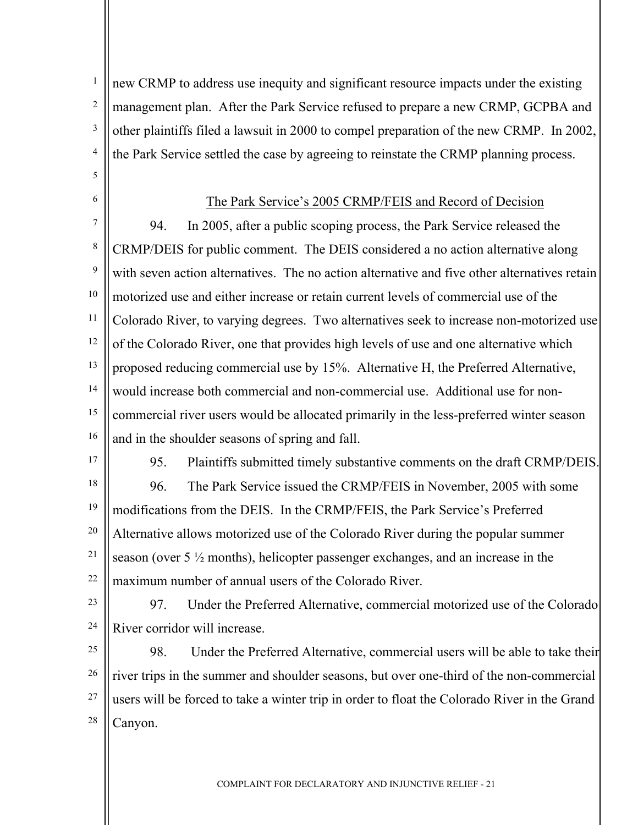new CRMP to address use inequity and significant resource impacts under the existing management plan. After the Park Service refused to prepare a new CRMP, GCPBA and other plaintiffs filed a lawsuit in 2000 to compel preparation of the new CRMP. In 2002, the Park Service settled the case by agreeing to reinstate the CRMP planning process.

#### The Park Service's 2005 CRMP/FEIS and Record of Decision

7 8 9 10 11 12 13 14 15 16 94. In 2005, after a public scoping process, the Park Service released the CRMP/DEIS for public comment. The DEIS considered a no action alternative along with seven action alternatives. The no action alternative and five other alternatives retain motorized use and either increase or retain current levels of commercial use of the Colorado River, to varying degrees. Two alternatives seek to increase non-motorized use of the Colorado River, one that provides high levels of use and one alternative which proposed reducing commercial use by 15%. Alternative H, the Preferred Alternative, would increase both commercial and non-commercial use. Additional use for noncommercial river users would be allocated primarily in the less-preferred winter season and in the shoulder seasons of spring and fall.

17

18

1

2

3

4

5

6

95. Plaintiffs submitted timely substantive comments on the draft CRMP/DEIS. 96. The Park Service issued the CRMP/FEIS in November, 2005 with some

19 20 21 22 modifications from the DEIS. In the CRMP/FEIS, the Park Service's Preferred Alternative allows motorized use of the Colorado River during the popular summer season (over 5 ½ months), helicopter passenger exchanges, and an increase in the maximum number of annual users of the Colorado River.

23 24

97. Under the Preferred Alternative, commercial motorized use of the Colorado River corridor will increase.

25 26 27 28 98. Under the Preferred Alternative, commercial users will be able to take their river trips in the summer and shoulder seasons, but over one-third of the non-commercial users will be forced to take a winter trip in order to float the Colorado River in the Grand Canyon.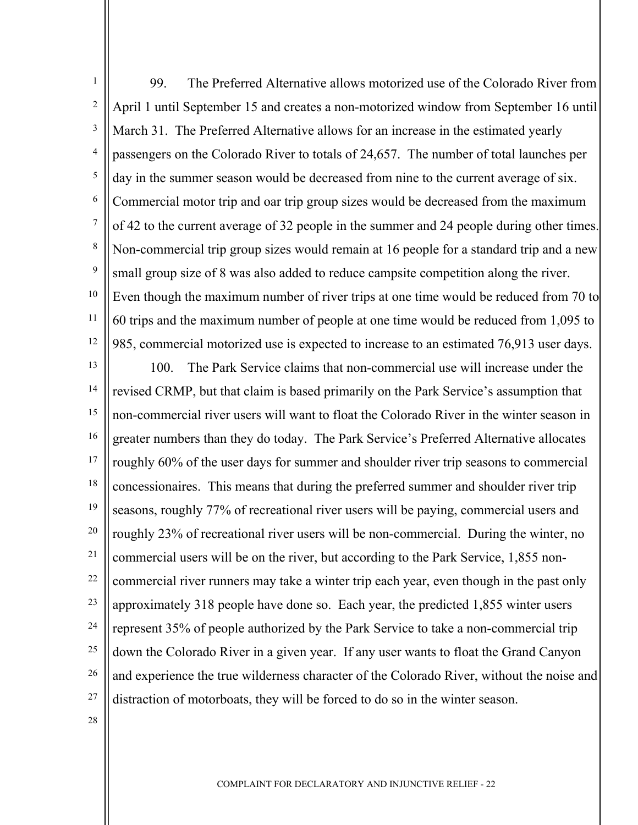1 2 3 4 5 6 7 8 9 10 11 99. The Preferred Alternative allows motorized use of the Colorado River from April 1 until September 15 and creates a non-motorized window from September 16 until March 31. The Preferred Alternative allows for an increase in the estimated yearly passengers on the Colorado River to totals of 24,657. The number of total launches per day in the summer season would be decreased from nine to the current average of six. Commercial motor trip and oar trip group sizes would be decreased from the maximum of 42 to the current average of 32 people in the summer and 24 people during other times. Non-commercial trip group sizes would remain at 16 people for a standard trip and a new small group size of 8 was also added to reduce campsite competition along the river. Even though the maximum number of river trips at one time would be reduced from 70 to 60 trips and the maximum number of people at one time would be reduced from 1,095 to 985, commercial motorized use is expected to increase to an estimated 76,913 user days.

12 13

14 15 16 17 18 19 20 21 22 23 24 25 26 27 100. The Park Service claims that non-commercial use will increase under the revised CRMP, but that claim is based primarily on the Park Service's assumption that non-commercial river users will want to float the Colorado River in the winter season in greater numbers than they do today. The Park Service's Preferred Alternative allocates roughly 60% of the user days for summer and shoulder river trip seasons to commercial concessionaires. This means that during the preferred summer and shoulder river trip seasons, roughly 77% of recreational river users will be paying, commercial users and roughly 23% of recreational river users will be non-commercial. During the winter, no commercial users will be on the river, but according to the Park Service, 1,855 noncommercial river runners may take a winter trip each year, even though in the past only approximately 318 people have done so. Each year, the predicted 1,855 winter users represent 35% of people authorized by the Park Service to take a non-commercial trip down the Colorado River in a given year. If any user wants to float the Grand Canyon and experience the true wilderness character of the Colorado River, without the noise and distraction of motorboats, they will be forced to do so in the winter season.

28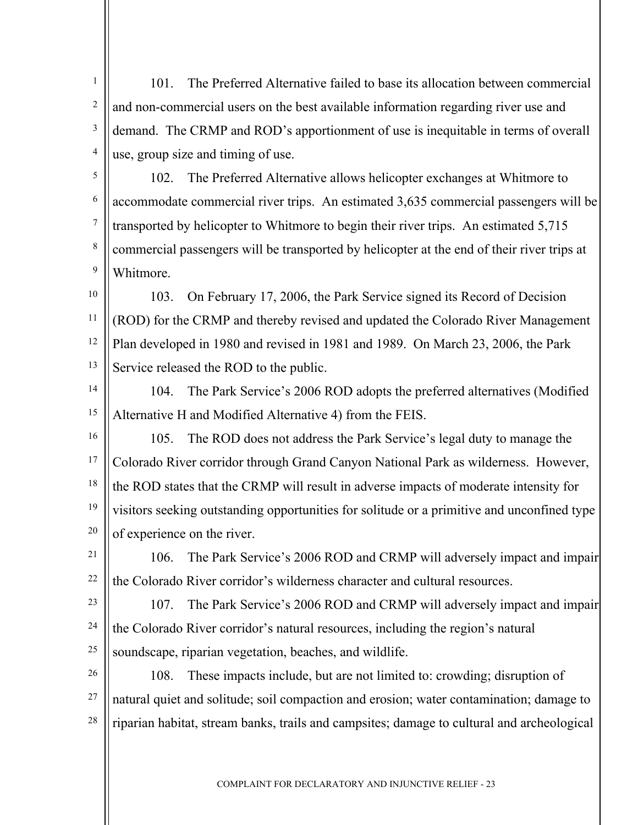2 3 4 101. The Preferred Alternative failed to base its allocation between commercial and non-commercial users on the best available information regarding river use and demand. The CRMP and ROD's apportionment of use is inequitable in terms of overall use, group size and timing of use.

5 6 7 8 9 102. The Preferred Alternative allows helicopter exchanges at Whitmore to accommodate commercial river trips. An estimated 3,635 commercial passengers will be transported by helicopter to Whitmore to begin their river trips. An estimated 5,715 commercial passengers will be transported by helicopter at the end of their river trips at Whitmore.

10 11 12 13 103. On February 17, 2006, the Park Service signed its Record of Decision (ROD) for the CRMP and thereby revised and updated the Colorado River Management Plan developed in 1980 and revised in 1981 and 1989. On March 23, 2006, the Park Service released the ROD to the public.

14

1

104. The Park Service's 2006 ROD adopts the preferred alternatives (Modified

15 16

17

18

Alternative H and Modified Alternative 4) from the FEIS. 105. The ROD does not address the Park Service's legal duty to manage the Colorado River corridor through Grand Canyon National Park as wilderness. However, the ROD states that the CRMP will result in adverse impacts of moderate intensity for

19 20 visitors seeking outstanding opportunities for solitude or a primitive and unconfined type of experience on the river.

21 22 106. The Park Service's 2006 ROD and CRMP will adversely impact and impair the Colorado River corridor's wilderness character and cultural resources.

23 24 25 107. The Park Service's 2006 ROD and CRMP will adversely impact and impair the Colorado River corridor's natural resources, including the region's natural soundscape, riparian vegetation, beaches, and wildlife.

26 27 28 108. These impacts include, but are not limited to: crowding; disruption of natural quiet and solitude; soil compaction and erosion; water contamination; damage to riparian habitat, stream banks, trails and campsites; damage to cultural and archeological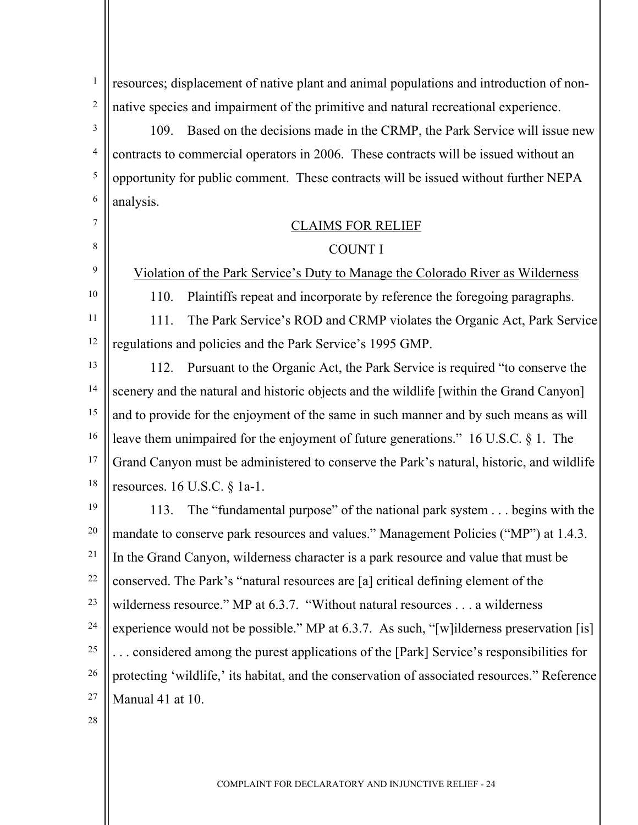1 2 3 4 resources; displacement of native plant and animal populations and introduction of nonnative species and impairment of the primitive and natural recreational experience. 109. Based on the decisions made in the CRMP, the Park Service will issue new contracts to commercial operators in 2006. These contracts will be issued without an

opportunity for public comment. These contracts will be issued without further NEPA analysis.

# CLAIMS FOR RELIEF

### COUNT I

Violation of the Park Service's Duty to Manage the Colorado River as Wilderness

110. Plaintiffs repeat and incorporate by reference the foregoing paragraphs.

11 12 111. The Park Service's ROD and CRMP violates the Organic Act, Park Service regulations and policies and the Park Service's 1995 GMP.

13 14 15 16 17 18 112. Pursuant to the Organic Act, the Park Service is required "to conserve the scenery and the natural and historic objects and the wildlife [within the Grand Canyon] and to provide for the enjoyment of the same in such manner and by such means as will leave them unimpaired for the enjoyment of future generations." 16 U.S.C. § 1. The Grand Canyon must be administered to conserve the Park's natural, historic, and wildlife resources. 16 U.S.C. § 1a-1.

19 20 21 22 23 24 25 26 27 113. The "fundamental purpose" of the national park system . . . begins with the mandate to conserve park resources and values." Management Policies ("MP") at 1.4.3. In the Grand Canyon, wilderness character is a park resource and value that must be conserved. The Park's "natural resources are [a] critical defining element of the wilderness resource." MP at 6.3.7. "Without natural resources . . . a wilderness experience would not be possible." MP at 6.3.7. As such, "[w] ilderness preservation [is] . . . considered among the purest applications of the [Park] Service's responsibilities for protecting 'wildlife,' its habitat, and the conservation of associated resources." Reference Manual 41 at 10.

28

5

6

7

8

9

10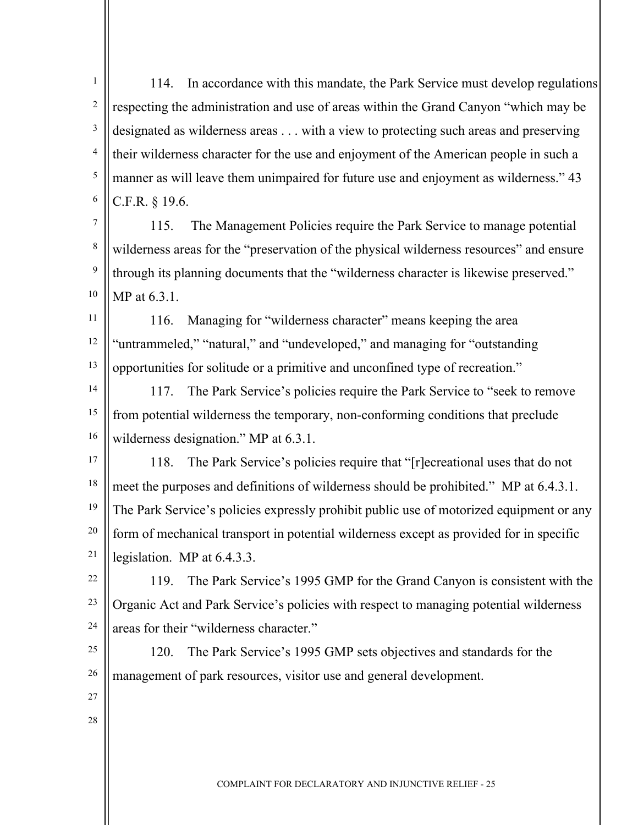1 2 3 4 5 6 114. In accordance with this mandate, the Park Service must develop regulations respecting the administration and use of areas within the Grand Canyon "which may be designated as wilderness areas . . . with a view to protecting such areas and preserving their wilderness character for the use and enjoyment of the American people in such a manner as will leave them unimpaired for future use and enjoyment as wilderness." 43 C.F.R. § 19.6.

7 8 9 10 115. The Management Policies require the Park Service to manage potential wilderness areas for the "preservation of the physical wilderness resources" and ensure through its planning documents that the "wilderness character is likewise preserved." MP at 6.3.1.

11 12 13 116. Managing for "wilderness character" means keeping the area "untrammeled," "natural," and "undeveloped," and managing for "outstanding opportunities for solitude or a primitive and unconfined type of recreation."

14 15 16 117. The Park Service's policies require the Park Service to "seek to remove from potential wilderness the temporary, non-conforming conditions that preclude wilderness designation." MP at  $6.3.1$ .

17 18 19 20 21 118. The Park Service's policies require that "[r]ecreational uses that do not meet the purposes and definitions of wilderness should be prohibited." MP at 6.4.3.1. The Park Service's policies expressly prohibit public use of motorized equipment or any form of mechanical transport in potential wilderness except as provided for in specific legislation. MP at 6.4.3.3.

22 23 24 119. The Park Service's 1995 GMP for the Grand Canyon is consistent with the Organic Act and Park Service's policies with respect to managing potential wilderness areas for their "wilderness character."

25 26 120. The Park Service's 1995 GMP sets objectives and standards for the management of park resources, visitor use and general development.

- 27
- 28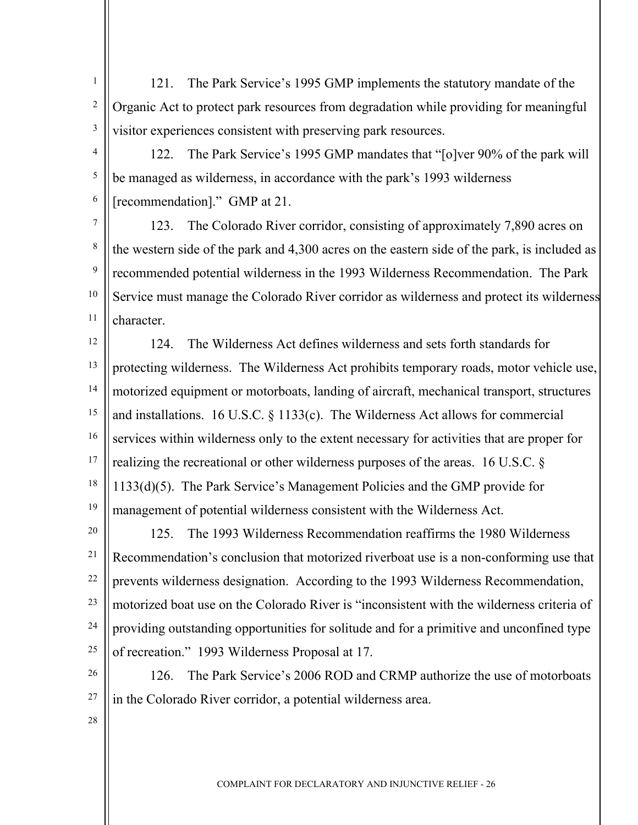1 2 3 121. The Park Service's 1995 GMP implements the statutory mandate of the Organic Act to protect park resources from degradation while providing for meaningful visitor experiences consistent with preserving park resources.

4 5 6 122. The Park Service's 1995 GMP mandates that "[o]ver 90% of the park will be managed as wilderness, in accordance with the park's 1993 wilderness [recommendation]." GMP at 21.

7 8 9 10 11 123. The Colorado River corridor, consisting of approximately 7,890 acres on the western side of the park and 4,300 acres on the eastern side of the park, is included as recommended potential wilderness in the 1993 Wilderness Recommendation. The Park Service must manage the Colorado River corridor as wilderness and protect its wilderness character.

12 13 14 15 16 17 18 19 124. The Wilderness Act defines wilderness and sets forth standards for protecting wilderness. The Wilderness Act prohibits temporary roads, motor vehicle use, motorized equipment or motorboats, landing of aircraft, mechanical transport, structures and installations. 16 U.S.C. § 1133(c). The Wilderness Act allows for commercial services within wilderness only to the extent necessary for activities that are proper for realizing the recreational or other wilderness purposes of the areas. 16 U.S.C. § 1133(d)(5). The Park Service's Management Policies and the GMP provide for management of potential wilderness consistent with the Wilderness Act.

20 21 22 23 24 25 125. The 1993 Wilderness Recommendation reaffirms the 1980 Wilderness Recommendation's conclusion that motorized riverboat use is a non-conforming use that prevents wilderness designation. According to the 1993 Wilderness Recommendation, motorized boat use on the Colorado River is "inconsistent with the wilderness criteria of providing outstanding opportunities for solitude and for a primitive and unconfined type of recreation." 1993 Wilderness Proposal at 17.

26 27 126. The Park Service's 2006 ROD and CRMP authorize the use of motorboats in the Colorado River corridor, a potential wilderness area.

28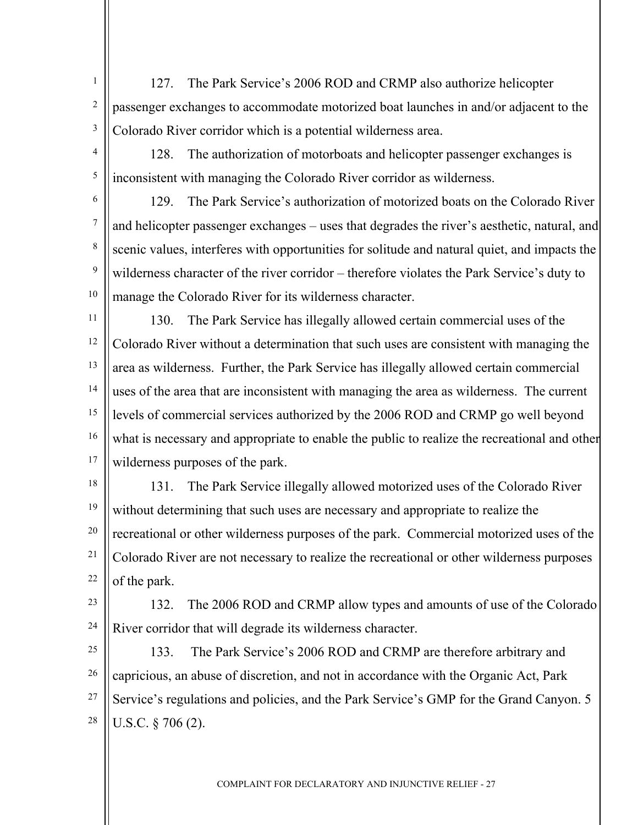1 2 3 127. The Park Service's 2006 ROD and CRMP also authorize helicopter passenger exchanges to accommodate motorized boat launches in and/or adjacent to the Colorado River corridor which is a potential wilderness area.

4 5 128. The authorization of motorboats and helicopter passenger exchanges is inconsistent with managing the Colorado River corridor as wilderness.

6

7

8

9

129. The Park Service's authorization of motorized boats on the Colorado River and helicopter passenger exchanges – uses that degrades the river's aesthetic, natural, and scenic values, interferes with opportunities for solitude and natural quiet, and impacts the wilderness character of the river corridor – therefore violates the Park Service's duty to manage the Colorado River for its wilderness character.

10 11

12 13 14 15 16 17 130. The Park Service has illegally allowed certain commercial uses of the Colorado River without a determination that such uses are consistent with managing the area as wilderness. Further, the Park Service has illegally allowed certain commercial uses of the area that are inconsistent with managing the area as wilderness. The current levels of commercial services authorized by the 2006 ROD and CRMP go well beyond what is necessary and appropriate to enable the public to realize the recreational and other wilderness purposes of the park.

18

19 20 21 22 131. The Park Service illegally allowed motorized uses of the Colorado River without determining that such uses are necessary and appropriate to realize the recreational or other wilderness purposes of the park. Commercial motorized uses of the Colorado River are not necessary to realize the recreational or other wilderness purposes of the park.

23

24 132. The 2006 ROD and CRMP allow types and amounts of use of the Colorado River corridor that will degrade its wilderness character.

25 26 27 28 133. The Park Service's 2006 ROD and CRMP are therefore arbitrary and capricious, an abuse of discretion, and not in accordance with the Organic Act, Park Service's regulations and policies, and the Park Service's GMP for the Grand Canyon. 5 U.S.C. § 706 (2).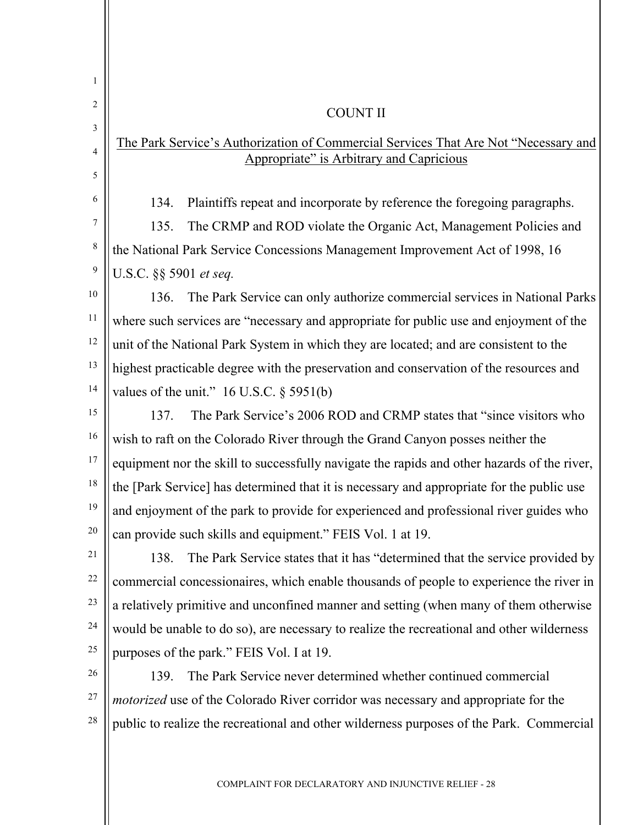| 1              |                                                                                                                                 |  |
|----------------|---------------------------------------------------------------------------------------------------------------------------------|--|
| 2              | <b>COUNT II</b>                                                                                                                 |  |
| 3              |                                                                                                                                 |  |
| $\overline{4}$ | The Park Service's Authorization of Commercial Services That Are Not "Necessary and<br>Appropriate" is Arbitrary and Capricious |  |
| 5              |                                                                                                                                 |  |
| 6              | Plaintiffs repeat and incorporate by reference the foregoing paragraphs.<br>134.                                                |  |
| 7              | The CRMP and ROD violate the Organic Act, Management Policies and<br>135.                                                       |  |
| 8              | the National Park Service Concessions Management Improvement Act of 1998, 16                                                    |  |
| 9              | U.S.C. §§ 5901 et seq.                                                                                                          |  |
| 10             | The Park Service can only authorize commercial services in National Parks<br>136.                                               |  |
| 11             | where such services are "necessary and appropriate for public use and enjoyment of the                                          |  |
| 12             | unit of the National Park System in which they are located; and are consistent to the                                           |  |
| 13             | highest practicable degree with the preservation and conservation of the resources and                                          |  |
| 14             | values of the unit." $16$ U.S.C. § 5951(b)                                                                                      |  |
| 15             | The Park Service's 2006 ROD and CRMP states that "since visitors who<br>137.                                                    |  |
| 16             | wish to raft on the Colorado River through the Grand Canyon posses neither the                                                  |  |
| 17             | equipment nor the skill to successfully navigate the rapids and other hazards of the river,                                     |  |
| 18             | the [Park Service] has determined that it is necessary and appropriate for the public use                                       |  |
| 19             | and enjoyment of the park to provide for experienced and professional river guides who                                          |  |
| 20             | can provide such skills and equipment." FEIS Vol. 1 at 19.                                                                      |  |
| 21             | The Park Service states that it has "determined that the service provided by<br>138.                                            |  |
| 22             | commercial concessionaires, which enable thousands of people to experience the river in                                         |  |
| 23             | a relatively primitive and unconfined manner and setting (when many of them otherwise                                           |  |
| 24             | would be unable to do so), are necessary to realize the recreational and other wilderness                                       |  |
| 25             | purposes of the park." FEIS Vol. I at 19.                                                                                       |  |
| 26             | The Park Service never determined whether continued commercial<br>139.                                                          |  |
| 27             | motorized use of the Colorado River corridor was necessary and appropriate for the                                              |  |
| 28             | public to realize the recreational and other wilderness purposes of the Park. Commercial                                        |  |
|                |                                                                                                                                 |  |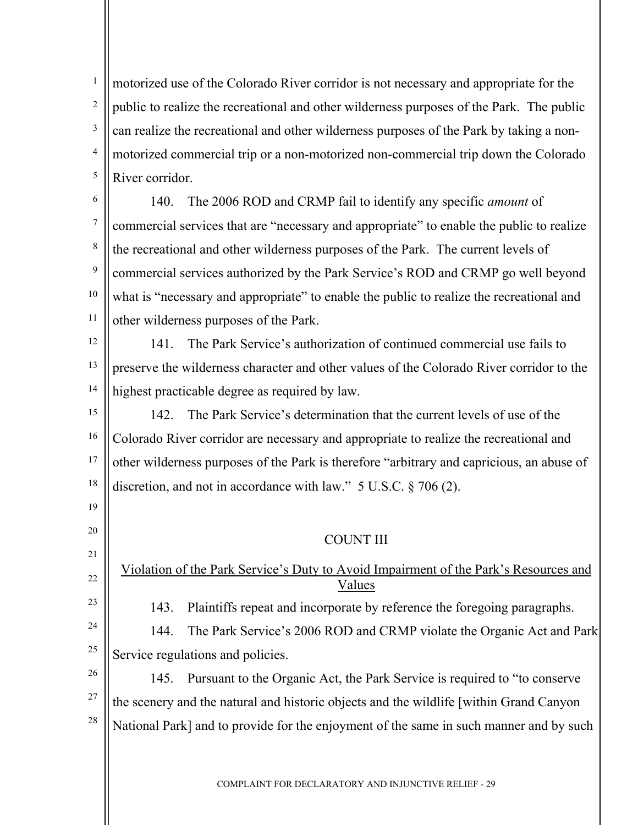1 2 3 4 5 motorized use of the Colorado River corridor is not necessary and appropriate for the public to realize the recreational and other wilderness purposes of the Park. The public can realize the recreational and other wilderness purposes of the Park by taking a nonmotorized commercial trip or a non-motorized non-commercial trip down the Colorado River corridor.

6 7 8 9 10 11 140. The 2006 ROD and CRMP fail to identify any specific *amount* of commercial services that are "necessary and appropriate" to enable the public to realize the recreational and other wilderness purposes of the Park. The current levels of commercial services authorized by the Park Service's ROD and CRMP go well beyond what is "necessary and appropriate" to enable the public to realize the recreational and other wilderness purposes of the Park.

12 13 14 141. The Park Service's authorization of continued commercial use fails to preserve the wilderness character and other values of the Colorado River corridor to the highest practicable degree as required by law.

15 16 17 18 142. The Park Service's determination that the current levels of use of the Colorado River corridor are necessary and appropriate to realize the recreational and other wilderness purposes of the Park is therefore "arbitrary and capricious, an abuse of discretion, and not in accordance with law." 5 U.S.C. § 706 (2).

19

20

21

22

23

COUNT III

Violation of the Park Service's Duty to Avoid Impairment of the Park's Resources and Values

143. Plaintiffs repeat and incorporate by reference the foregoing paragraphs.

24 25 144. The Park Service's 2006 ROD and CRMP violate the Organic Act and Park Service regulations and policies.

26 27 28 145. Pursuant to the Organic Act, the Park Service is required to "to conserve the scenery and the natural and historic objects and the wildlife [within Grand Canyon National Park] and to provide for the enjoyment of the same in such manner and by such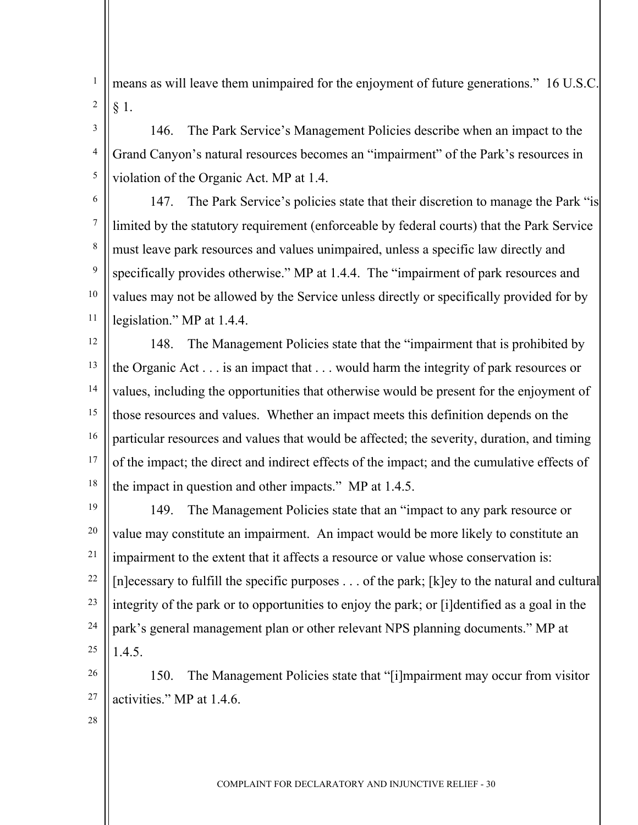1 2 means as will leave them unimpaired for the enjoyment of future generations." 16 U.S.C. § 1.

3 4 5 146. The Park Service's Management Policies describe when an impact to the Grand Canyon's natural resources becomes an "impairment" of the Park's resources in violation of the Organic Act. MP at 1.4.

6 7 8 9 10 11 147. The Park Service's policies state that their discretion to manage the Park "is limited by the statutory requirement (enforceable by federal courts) that the Park Service must leave park resources and values unimpaired, unless a specific law directly and specifically provides otherwise." MP at 1.4.4. The "impairment of park resources and values may not be allowed by the Service unless directly or specifically provided for by legislation." MP at 1.4.4.

12 13 14 15 16 17 18 148. The Management Policies state that the "impairment that is prohibited by the Organic Act . . . is an impact that . . . would harm the integrity of park resources or values, including the opportunities that otherwise would be present for the enjoyment of those resources and values. Whether an impact meets this definition depends on the particular resources and values that would be affected; the severity, duration, and timing of the impact; the direct and indirect effects of the impact; and the cumulative effects of the impact in question and other impacts." MP at 1.4.5.

19 20 21 22 23 24 25 149. The Management Policies state that an "impact to any park resource or value may constitute an impairment. An impact would be more likely to constitute an impairment to the extent that it affects a resource or value whose conservation is: [n]ecessary to fulfill the specific purposes . . . of the park; [k]ey to the natural and cultural integrity of the park or to opportunities to enjoy the park; or [i]dentified as a goal in the park's general management plan or other relevant NPS planning documents." MP at 1.4.5.

26 27 150. The Management Policies state that "[i]mpairment may occur from visitor activities." MP at 1.4.6.

28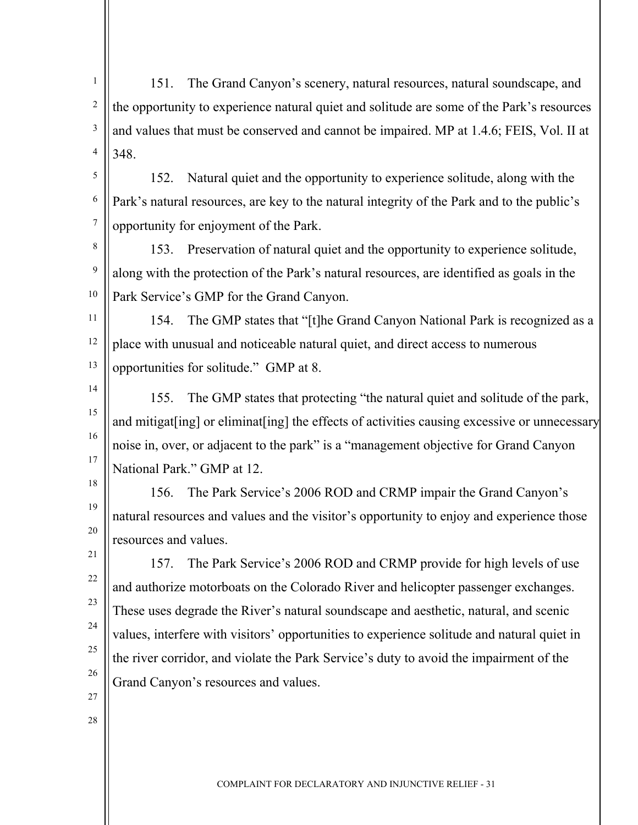1 2 3 4 151. The Grand Canyon's scenery, natural resources, natural soundscape, and the opportunity to experience natural quiet and solitude are some of the Park's resources and values that must be conserved and cannot be impaired. MP at 1.4.6; FEIS, Vol. II at 348.

5 6 7 152. Natural quiet and the opportunity to experience solitude, along with the Park's natural resources, are key to the natural integrity of the Park and to the public's opportunity for enjoyment of the Park.

8 9 10 153. Preservation of natural quiet and the opportunity to experience solitude, along with the protection of the Park's natural resources, are identified as goals in the Park Service's GMP for the Grand Canyon.

11 12 13 154. The GMP states that "[t]he Grand Canyon National Park is recognized as a place with unusual and noticeable natural quiet, and direct access to numerous opportunities for solitude." GMP at 8.

14

15

16

17

21

22

23

24

25

26

155. The GMP states that protecting "the natural quiet and solitude of the park, and mitigat [ing] or eliminat [ing] the effects of activities causing excessive or unnecessary noise in, over, or adjacent to the park" is a "management objective for Grand Canyon National Park." GMP at 12.

18 19 20 156. The Park Service's 2006 ROD and CRMP impair the Grand Canyon's natural resources and values and the visitor's opportunity to enjoy and experience those resources and values.

157. The Park Service's 2006 ROD and CRMP provide for high levels of use and authorize motorboats on the Colorado River and helicopter passenger exchanges. These uses degrade the River's natural soundscape and aesthetic, natural, and scenic values, interfere with visitors' opportunities to experience solitude and natural quiet in the river corridor, and violate the Park Service's duty to avoid the impairment of the Grand Canyon's resources and values.

- 27
- 28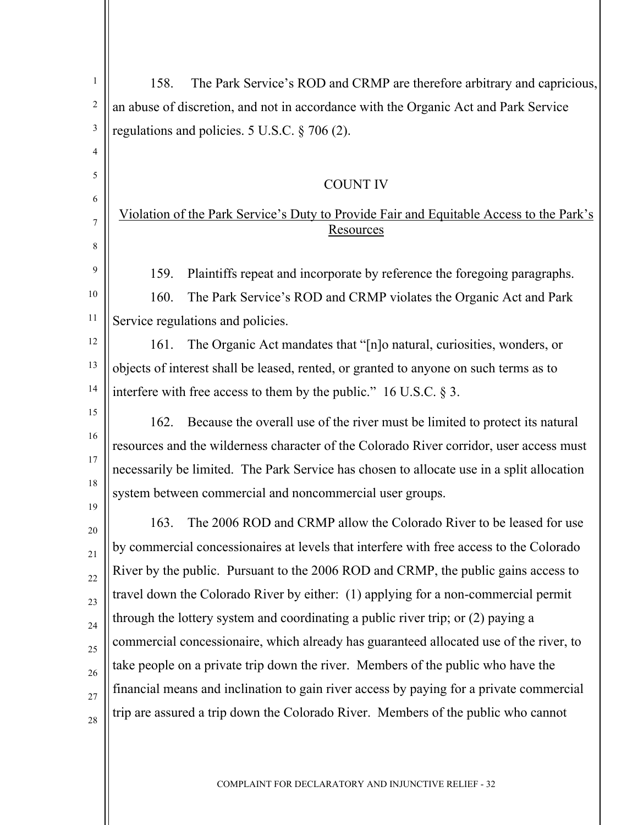| $\mathbf{1}$    | The Park Service's ROD and CRMP are therefore arbitrary and capricious,<br>158.           |
|-----------------|-------------------------------------------------------------------------------------------|
| $\sqrt{2}$      | an abuse of discretion, and not in accordance with the Organic Act and Park Service       |
| $\mathfrak{Z}$  | regulations and policies. $5 \text{ U.S.C.} \$ 706 (2).                                   |
| 4               |                                                                                           |
| 5               | <b>COUNT IV</b>                                                                           |
| 6               | Violation of the Park Service's Duty to Provide Fair and Equitable Access to the Park's   |
| $\tau$          | Resources                                                                                 |
| 8               |                                                                                           |
| 9               | Plaintiffs repeat and incorporate by reference the foregoing paragraphs.<br>159.          |
| 10              | The Park Service's ROD and CRMP violates the Organic Act and Park<br>160.                 |
| 11              | Service regulations and policies.                                                         |
| 12              | 161.<br>The Organic Act mandates that "[n]o natural, curiosities, wonders, or             |
| 13              | objects of interest shall be leased, rented, or granted to anyone on such terms as to     |
| 14              | interfere with free access to them by the public." $16$ U.S.C. § 3.                       |
| 15              | Because the overall use of the river must be limited to protect its natural<br>162.       |
| 16              | resources and the wilderness character of the Colorado River corridor, user access must   |
| 17              | necessarily be limited. The Park Service has chosen to allocate use in a split allocation |
| 18<br>19        | system between commercial and noncommercial user groups.                                  |
| 20              | The 2006 ROD and CRMP allow the Colorado River to be leased for use<br>163.               |
| 21              | by commercial concessionaires at levels that interfere with free access to the Colorado   |
| $\overline{22}$ | River by the public. Pursuant to the 2006 ROD and CRMP, the public gains access to        |
| 23              | travel down the Colorado River by either: (1) applying for a non-commercial permit        |
| 24              | through the lottery system and coordinating a public river trip; or (2) paying a          |
| 25              | commercial concessionaire, which already has guaranteed allocated use of the river, to    |
| 26              | take people on a private trip down the river. Members of the public who have the          |
| 27              | financial means and inclination to gain river access by paying for a private commercial   |
| 28              | trip are assured a trip down the Colorado River. Members of the public who cannot         |
|                 |                                                                                           |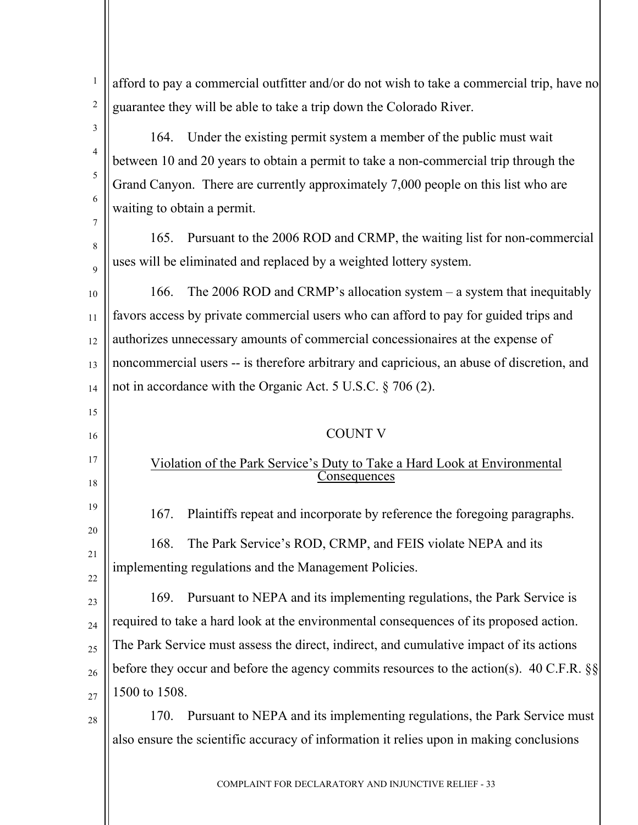1 2 3 4 5 6 7 8  $\alpha$ 10 11 12 13 14 15 16 17 18 19 20 21 22 23  $24$ 25 26 27 28 afford to pay a commercial outfitter and/or do not wish to take a commercial trip, have no guarantee they will be able to take a trip down the Colorado River. 164. Under the existing permit system a member of the public must wait between 10 and 20 years to obtain a permit to take a non-commercial trip through the Grand Canyon. There are currently approximately 7,000 people on this list who are waiting to obtain a permit. 165. Pursuant to the 2006 ROD and CRMP, the waiting list for non-commercial uses will be eliminated and replaced by a weighted lottery system. 166. The 2006 ROD and CRMP's allocation system – a system that inequitably favors access by private commercial users who can afford to pay for guided trips and authorizes unnecessary amounts of commercial concessionaires at the expense of noncommercial users -- is therefore arbitrary and capricious, an abuse of discretion, and not in accordance with the Organic Act. 5 U.S.C. § 706 (2). COUNT V Violation of the Park Service's Duty to Take a Hard Look at Environmental Consequences 167. Plaintiffs repeat and incorporate by reference the foregoing paragraphs. 168. The Park Service's ROD, CRMP, and FEIS violate NEPA and its implementing regulations and the Management Policies. 169. Pursuant to NEPA and its implementing regulations, the Park Service is required to take a hard look at the environmental consequences of its proposed action. The Park Service must assess the direct, indirect, and cumulative impact of its actions before they occur and before the agency commits resources to the action(s). 40 C.F.R. §§ 1500 to 1508. 170. Pursuant to NEPA and its implementing regulations, the Park Service must also ensure the scientific accuracy of information it relies upon in making conclusions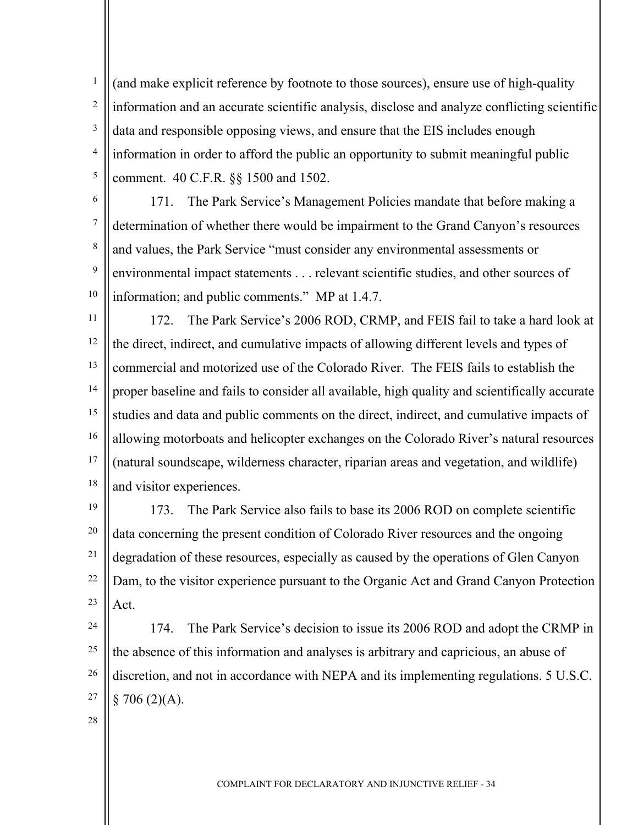1 2 3 4 5 (and make explicit reference by footnote to those sources), ensure use of high-quality information and an accurate scientific analysis, disclose and analyze conflicting scientific data and responsible opposing views, and ensure that the EIS includes enough information in order to afford the public an opportunity to submit meaningful public comment. 40 C.F.R. §§ 1500 and 1502.

6

7

8

9

171. The Park Service's Management Policies mandate that before making a determination of whether there would be impairment to the Grand Canyon's resources and values, the Park Service "must consider any environmental assessments or environmental impact statements . . . relevant scientific studies, and other sources of information; and public comments." MP at 1.4.7.

10 11

12 13 14 15 16 17 18 172. The Park Service's 2006 ROD, CRMP, and FEIS fail to take a hard look at the direct, indirect, and cumulative impacts of allowing different levels and types of commercial and motorized use of the Colorado River. The FEIS fails to establish the proper baseline and fails to consider all available, high quality and scientifically accurate studies and data and public comments on the direct, indirect, and cumulative impacts of allowing motorboats and helicopter exchanges on the Colorado River's natural resources (natural soundscape, wilderness character, riparian areas and vegetation, and wildlife) and visitor experiences.

19 20 21 22 23 173. The Park Service also fails to base its 2006 ROD on complete scientific data concerning the present condition of Colorado River resources and the ongoing degradation of these resources, especially as caused by the operations of Glen Canyon Dam, to the visitor experience pursuant to the Organic Act and Grand Canyon Protection Act.

- 24 25 26 27 174. The Park Service's decision to issue its 2006 ROD and adopt the CRMP in the absence of this information and analyses is arbitrary and capricious, an abuse of discretion, and not in accordance with NEPA and its implementing regulations. 5 U.S.C.  $$706(2)(A).$
- 28